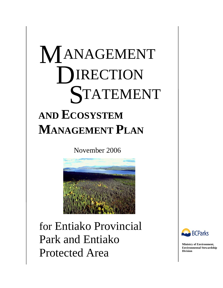# M **AND ECOSYSTEM MANAGEMENT PLAN**  ANAGEMENT **DIRECTION** STATEMENT

November 2006



for Entiako Provincial Park and Entiako Protected Area



**Ministry of Environment, Environmental Stewardship Division**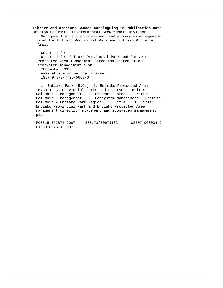**Library and Archives Canada Cataloguing in Publication Data**  British Columbia. Environmental Stewardship Division. Management direction statement and ecosystem management plan for Entiako Provincial Park and Entiako Protected Area. Cover title.

Other title: Entiako Provincial Park and Entiako Protected Area management direction statement and ecosystem management plan. "November 2006" Available also on the Internet. ISBN 978-0-7726-5663-6

1. Entiako Park (B.C.) 2. Entiako Protected Area (B.Cc.) 3. Provincial parks and reserves - British Columbia – Management. 4. Protected areas - British Columbia - Management. 3. Ecosystem management - British Columbia – Entiako Park Region. I. Title. II. Title: Entiako Provincial Park and Entiako Protected Area management direction statement and ecosystem management plan.

FC3815.E57B74 2007 333.78'30971182 C2007-960004-2 F1089.E57B74 2007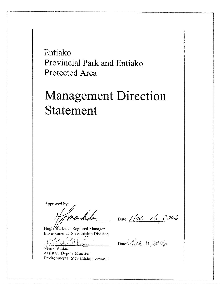Entiako Provincial Park and Entiako **Protected Area** 

# **Management Direction Statement**

Approved by:

nakida

Hugh Markides Regional Manager Environmental Stewardship Division

Nancy Wilkin

**Assistant Deputy Minister** Environmental Stewardship Division

Date: Nov. 16, 2006

Date: Alec 11, 2006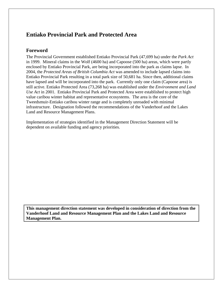## **Entiako Provincial Park and Protected Area**

#### **Foreword**

The Provincial Government established Entiako Provincial Park (47,699 ha) under the *Park Act* in 1999. Mineral claims in the Wolf (4600 ha) and Capoose (500 ha) areas, which were partly enclosed by Entiako Provincial Park, are being incorporated into the park as claims lapse. In 2004, the *Protected Areas of British Columbia Act* was amended to include lapsed claims into Entiako Provincial Park resulting in a total park size of 50,681 ha. Since then, additional claims have lapsed and will be incorporated into the park. Currently only one claim (Capoose area) is still active. Entiako Protected Area (73,268 ha) was established under the *Environment and Land Use Act* in 2001. Entiako Provincial Park and Protected Area were established to protect high value caribou winter habitat and representative ecosystems. The area is the core of the Tweedsmuir-Entiako caribou winter range and is completely unroaded with minimal infrastructure. Designation followed the recommendations of the Vanderhoof and the Lakes Land and Resource Management Plans.

Implementation of strategies identified in the Management Direction Statement will be dependent on available funding and agency priorities.

**This management direction statement was developed in consideration of direction from the Vanderhoof Land and Resource Management Plan and the Lakes Land and Resource Management Plan.**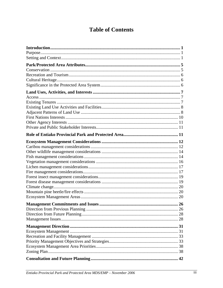# **Table of Contents**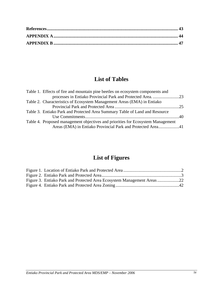# **List of Tables**

| Table 1. Effects of fire and mountain pine beetles on ecosystem components and  |  |
|---------------------------------------------------------------------------------|--|
| processes in Entiako Provincial Park and Protected Area. 23                     |  |
| Table 2. Characteristics of Ecosystem Management Areas (EMA) in Entiako         |  |
|                                                                                 |  |
| Table 3. Entiako Park and Protected Area Summary Table of Land and Resource     |  |
|                                                                                 |  |
| Table 4. Proposed management objectives and priorities for Ecosystem Management |  |
| Areas (EMA) in Entiako Provincial Park and Protected Area41                     |  |

# **List of Figures**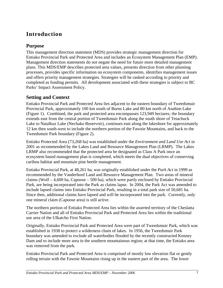# **Introduction**

## **Purpose**

This management direction statement (MDS) provides strategic management direction for Entiako Provincial Park and Protected Area and includes an Ecosystem Management Plan (EMP). Management direction statements do not negate the need for future more detailed management plans. This MDS/EMP describes protected area values, presents direction from other planning processes, provides specific information on ecosystem components, identifies management issues and offers priority management strategies. Strategies will be ranked according to priority and completed as funding permits. All development associated with these strategies is subject to BC Parks' Impact Assessment Policy.

## **Setting and Context**

Entiako Provincial Park and Protected Area lies adjacent to the eastern boundary of Tweedsmuir Provincial Park, approximately 100 km south of Burns Lake and 80 km north of Anahim Lake (Figure 1). Combined, the park and protected area encompasses 123,949 hectares; the boundary extends east from the central portion of Tweedsmuir Park along the south shore of Tetachuck Lake to Natalkuz Lake (Nechako Reservoir), continues east along the lakeshore for approximately 12 km then south-west to include the northern portion of the Fawnie Mountains, and back to the Tweedsmuir Park boundary (Figure 2).

Entiako Protected Area (73,268 ha) was established under the *Environment and Land Use Act* in 2001 as recommended by the Lakes Land and Resource Management Plan (LRMP). The Lakes LRMP also recommended that the protected area be designated as Class A Park once an ecosystem based management plan is completed, which meets the dual objectives of conserving caribou habitat and mountain pine beetle management.

Entiako Provincial Park, at 48,261 ha, was originally established under the *Park Act* in 1999 as recommended by the Vanderhoof Land and Resource Management Plan. Two areas of mineral claims (Wolf – 4,600 ha, Capoose – 500 ha), which were partly enclosed by Entiako Provincial Park, are being incorporated into the Park as claims lapse. In 2004, the Park Act was amended to include lapsed claims into Entiako Provincial Park, resulting in a total park size of 50,681 ha. Since then, additional claims have lapsed and will be incorporated into the park. Currently, only one mineral claim (Capoose area) is still active.

The northern portion of Entiako Protected Area lies within the asserted territory of the Cheslatta Carrier Nation and all of Entiako Provincial Park and Protected Area lies within the traditional use area of the Ulkatcho First Nation.

Originally, Entiako Provincial Park and Protected Area were part of Tweedsmuir Park, which was established in 1938 to protect a wilderness chain of lakes. In 1956, the Tweedsmuir Park boundary was amended to exclude all waterbodies flooded by the recently constructed Kenney Dam and to include more area in the southern mountainous region; at that time, the Entiako area was removed from the park.

Entiako Provincial Park and Protected Area is comprised of mostly low elevation flat or gently rolling terrain with the Fawnie Mountains rising up in the eastern part of the area. The lower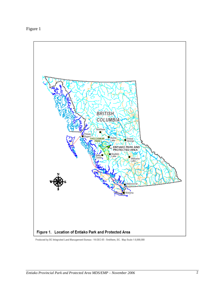



Produced by BC Integrated Land Management Bureau - 16-DEC-05 - Smithers, BC. Map Scale 1:9,000,000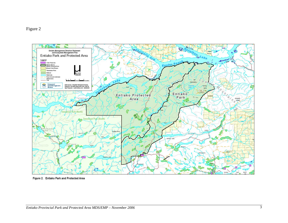

Figure 2. Entiako Park and Protected Area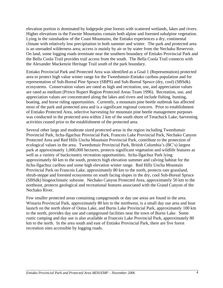elevation portion is dominated by lodgepole pine forests with scattered wetlands, lakes and rivers. Higher elevations in the Fawnie Mountains contain both alpine and forested subalpine vegetation. Lying in the rainshadow of the Coast Mountains, the Entiako experiences a dry, continental climate with relatively low precipitation in both summer and winter. The park and protected area is an unroaded wilderness area; access is mainly by air or by water from the Nechako Reservoir. On land, some logging roads terminate near the southern boundary of Entiako Provincial Park and the Bella Coola Trail provides trail access from the south. The Bella Coola Trail connects with the Alexander Mackenzie Heritage Trail south of the park boundary.

Entiako Provincial Park and Protected Area was identified as a Goal 1 (Representation) protected area to protect high value winter range for the Tweedsmuir-Entiako caribou population and for representation of Sub-Boreal Pine Spruce (SBPS) and Sub-Boreal Spruce (dry, cool) (SBSdk) ecosystems. Conservation values are rated as high and recreation, use, and appreciation values are rated as medium (Prince Rupert Region Protected Areas Team 1996). Recreation, use, and appreciation values are concentrated along the lakes and rivers and include fishing, hunting, boating, and horse riding opportunities. Currently, a mountain pine beetle outbreak has affected most of the park and protected area and is a significant regional concern. Prior to establishment of Entiako Protected Area, selective harvesting for mountain pine beetle management purposes was conducted in the protected area within 2 km of the south shore of Tetachuck Lake; harvesting activities ceased prior to the establishment of the protected area.

Several other large and moderate sized protected areas in the region including Tweedsmuir Provincial Park, Itcha-Ilgachuz Provincial Park, Francois Lake Provincial Park, Nechako Canyon Protected Area and Red Hills Uncha Mountain Provincial Park, contribute to the protection of ecological values in the area. Tweedsmuir Provincial Park, British Columbia's (BC's) largest park at approximately 1,000,000 hectares, protects significant vegetation and wildlife features as well as a variety of backcountry recreation opportunities. Itcha-Ilgachuz Park lying approximately 60 km to the south, protects high elevation summer and calving habitat for the Itcha-Ilgachuz caribou and some high elevation winter range. Red Hills Uncha Mountain Provincial Park on Francois Lake, approximately 80 km to the north, protects rare grassland, shrub-steppe and forested ecosystems on south facing slopes in the dry, cool Sub-Boreal Spruce (SBSdk) biogeoclimatic subzone. Nechako Canyon Protected Area, approximately 50 km to the northeast, protects geological and recreational features associated with the Grand Canyon of the Nechako River.

Few smaller protected areas containing campgrounds or day use areas are found in the area. Wistaria Provincial Park, approximately 80 km to the northwest, is a small day use area and boat launch on the north shore of Ootsa Lake, and Burns Lake Provincial Park, approximately 100 km to the north, provides day use and campground facilities near the town of Burns Lake. Some rustic camping and day use is also available at Francois Lake Provincial Park, approximately 80 km to the north. In the area south and east of Entiako Provincial Park, there are five forest recreation sites accessible by logging roads.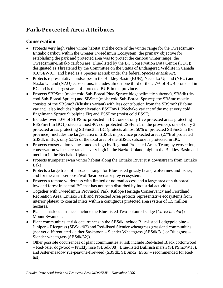# **Park/Protected Area Attributes**

## **Conservation**

- Protects very high value winter habitat and the core of the winter range for the Tweedsmuir-Entiako caribou within the Greater Tweedsmuir Ecosystem; the primary objective for establishing the park and protected area was to protect the caribou winter range; the Tweedsmuir-Entiako caribou are: Blue-listed by the BC Conservation Data Centre (CDC); designated as Threatened by the Committee on the Status of Endangered Wildlife in Canada (COSEWIC); and listed as a Species at Risk under the federal *Species at Risk Act.*
- Protects representative landscapes in the Bulkley Basin (BUB), Nechako Upland (NEU) and Nazko Upland (NAU) ecosections; includes almost one third of the 2.7% of BUB protected in BC and is the largest area of protected BUB in the province.
- Protects SBPSmc (moist cold Sub-Boreal Pine-Spruce biogeoclimatic subzone), SBSdk (dry cool Sub-Boreal Spruce) and SBSmc (moist cold Sub-Boreal Spruce); the SBSmc mostly consists of the SBSmc3 (Kluskus variant) with less contribution from the SBSmc2 (Babine variant); also includes higher elevation ESSFmv1 (Nechako variant of the moist very cold Engelmann Spruce Subalpine Fir) and ESSFmc (moist cold ESSF).
- Includes over 50% of SBPSmc protected in BC; one of only five protected areas protecting ESSFmv1 in BC (protects almost 40% of protected ESSFmv1 in the province); one of only 3 protected areas protecting SBSmc3 in BC (protects almost 50% of protected SBSmc3 in the province); includes the largest area of SBSdk in province protected areas (27% of protected SBSdk in BC); only 5.3% of the total area of the SBSdk subzone is protected in BC.
- Protects conservation values rated as high by Regional Protected Areas Team; by ecosection, conservation values are rated as very high in the Nazko Upland, high in the Bulkley Basin and medium in the Nechako Upland.
- Protects trumpeter swan winter habitat along the Entiako River just downstream from Entiako Lake.
- Protects a large tract of unroaded range for Blue-listed grizzly bears, wolverines and fisher, and for the caribou/moose/wolf/bear predator prey ecosystem.
- Protects a remote wilderness with limited or no road access and a large area of sub-boreal lowland forest in central BC that has not been disturbed by industrial activities.
- Together with Tweedsmuir Provincial Park, Kitlope Heritage Conservancy and Fiordland Recreation Area, Entiako Park and Protected Area protects representative ecosystems from interior plateau to coastal inlets within a contiguous protected area system of 1.5 million hectares.
- Plants at risk occurrences include the Blue-listed Two-coloured sedge (*Carex bicolor*) on Mount Swannell.
- Plant communities at risk occurrences in the SBSdk include Blue-listed Lodgepole pine Juniper – Ricegrass (SBSdk/02) and Red-listed Slender wheatgrass grassland communities (not yet differentiated - either Saskatoon – Slender Wheatgrass (SBSdk/81) or Bluegrass – Slender wheatgrass (SBSdk/82)).
- Other possible occurrences of plant communities at risk include Red-listed Black cottonwood – Red-osier dogwood – Prickly rose (SBSdk/08), Blue-listed Bullrush marsh (SBPSmc/W15), and Aster-meadow rue-peavine-fireweed (SBSdk, SBSmc2, ESSF – recommended for Redlist).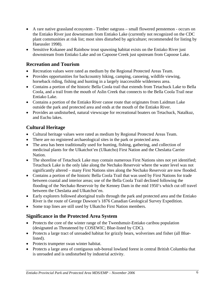- A rare native grassland ecosystem Timber oatgrass small flowered penstemon occurs on the Entiako River just downstream from Entiako Lake (currently not recognized on the CDC plant communities at risk list; most sites disturbed by agriculture; recommended for listing by Haeussler 1998).
- Sensitive Kokanee and Rainbow trout spawning habitat exists on the Entiako River just downstream from Entiako Lake and on Capoose Creek just upstream from Capoose Lake.

## **Recreation and Tourism**

- Recreation values were rated as medium by the Regional Protected Areas Team.
- Provides opportunities for backcountry hiking, camping, canoeing, wildlife viewing, horseback riding, fishing and hunting in a largely inaccessible wilderness area.
- Contains a portion of the historic Bella Coola trail that extends from Tetachuck Lake to Bella Coola, and a trail from the mouth of Aslin Creek that connects to the Bella Coola Trail near Entiako Lake.
- Contains a portion of the Entiako River canoe route that originates from Laidman Lake outside the park and protected area and ends at the mouth of the Entiako River.
- Provides an undisturbed, natural viewscape for recreational boaters on Tetachuck, Natalkuz, and Euchu lakes.

## **Cultural Heritage**

- Cultural heritage values were rated as medium by Regional Protected Areas Team.
- There are no registered archaeological sites in the park or protected area.
- The area has been traditionally used for hunting, fishing, gathering, and collection of medicinal plants for the Ulkatchot'en (Ulkatcho) First Nation and the Cheslatta Carrier Nation.
- The shoreline of Tetachuck Lake may contain numerous First Nations sites not yet identified; Tetachuck Lake is the only lake along the Nechako Reservoir where the water level was not significantly altered – many First Nations sites along the Nechako Reservoir are now flooded.
- Contains a portion of the historic Bella Coola Trail that was used by First Nations for trade between coastal and interior areas; use of the Bella Coola Trail declined following the flooding of the Nechako Reservoir by the Kenney Dam in the mid 1950's which cut off travel between the Cheslatta and Ulkatchot'en.
- Early explorers followed aboriginal trails through the park and protected area and the Entiako River is the route of George Dawson's 1876 Canadian Geological Survey Expedition.
- Some trap lines are still used by Ulkatcho First Nation members.

## **Significance in the Protected Area System**

- Protects the core of the winter range of the Tweedsmuir-Entiako caribou population (designated as Threatened by COSEWIC; Blue-listed by CDC).
- Protects a large tract of unroaded habitat for grizzly bears, wolverines and fisher (all Bluelisted).
- Protects trumpeter swan winter habitat.
- Protects a large area of contiguous sub-boreal lowland forest in central British Columbia that is unroaded and is undisturbed by industrial activity.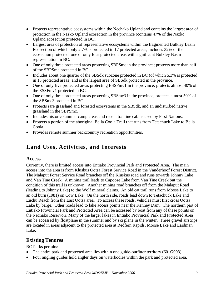- Protects representative ecosystems within the Nechako Upland and contains the largest area of protection in the Nazko Upland ecosection in the province (contains 47% of the Nazko Upland ecosection protected in BC).
- Largest area of protection of representative ecosystems within the fragmented Bulkley Basin Ecosection of which only 2.7% is protected in 17 protected areas; includes 32% of the ecosection protected; one of only four protected areas with significant Bulkley Basin representation in BC.
- One of only three protected areas protecting SBPSmc in the province; protects more than half of the SBPSmc protected in BC.
- Includes about one quarter of the SBSdk subzone protected in BC (of which 5.3% is protected in 18 protected areas) and is the largest area of SBSdk protected in the province.
- One of only five protected areas protecting ESSFmv1 in the province; protects almost 40% of the ESSFmv1 protected in BC.
- One of only three protected areas protecting SBSmc3 in the province; protects almost 50% of the SBSmc3 protected in BC.
- Protects rare grassland and forested ecosystems in the SBSdk, and an undisturbed native grassland in the SBPSmc.
- Includes historic summer camp areas and recent trapline cabins used by First Nations.
- Protects a portion of the aboriginal Bella Coola Trail that runs from Tetachuck Lake to Bella Coola.
- Provides remote summer backcountry recreation opportunities.

# **Land Uses, Activities, and Interests**

## **Access**

Currently, there is limited access into Entiako Provincial Park and Protected Area. The main access into the area is from Kluskus Ootsa Forest Service Road in the Vanderhoof Forest District. The Malaput Forest Service Road branches off the Kluskus road and runs towards Johnny Lake and Van Tine Creek. A mining trail leads to Capoose Lake from Van Tine Creek but the condition of this trail is unknown. Another mining road branches off from the Malaput Road (leading to Johnny Lake) to the Wolf mineral claims. An old cat trail runs from Moose Lake to an old burn (1981) on Cow Lake. On the north side, roads lead down to Tetachuck Lake and Euchu Reach from the East Ootsa area. To access these roads, vehicles must first cross Ootsa Lake by barge. Other roads lead to lake access points near the Kenney Dam. The northern part of Entiako Provincial Park and Protected Area can be accessed by boat from any of these points on the Nechako Reservoir. Many of the larger lakes in Entiako Provincial Park and Protected Area can be accessed by floatplane in the summer and by ski plane in the winter. Three gravel airstrips are located in areas adjacent to the protected area at Redfern Rapids, Moose Lake and Laidman Lake.

## **Existing Tenures**

BC Parks permits:

- The entire park and protected area lies within one guide-outfitter territory (601G003).
- Four angling guides hold angler days on waterbodies within the park and protected area.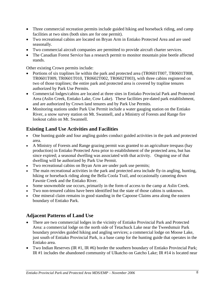- Three commercial recreation permits include guided hiking and horseback riding, and camp facilities at two sites (both sites are for one permit).
- Two recreational cabins are located on Bryan Arm in Entiako Protected Area and are used seasonally.
- Two commercial aircraft companies are permitted to provide aircraft charter services.
- The Canadian Forest Service has a research permit to monitor mountain pine beetle affected stands.

Other existing Crown permits include:

- Portions of six traplines lie within the park and protected area (TR0601T007, TR0601T008, TR0601T009, TR0601T010, TR0602T002, TR0602T003), with three cabins registered on two of those traplines; the entire park and protected area is covered by trapline tenures authorized by Park Use Permits.
- Commercial lodges/cabins are located at three sites in Entiako Provincial Park and Protected Area (Aslin Creek, Entiako Lake, Cow Lake). These facilities pre-dated park establishment, and are authorized by Crown land tenures and by Park Use Permits.
- Monitoring stations under Park Use Permit include a water gauging station on the Entiako River, a snow survey station on Mt. Swannell, and a Ministry of Forests and Range fire lookout cabin on Mt. Swannell.

## **Existing Land Use Activities and Facilities**

- One hunting guide and four angling guides conduct guided activities in the park and protected area.
- A Ministry of Forests and Range grazing permit was granted to an agriculture trespass (hay production) in Entiako Protected Area prior to establishment of the protected area, but has since expired; a seasonal dwelling was associated with that activity. Ongoing use of that dwelling will be authorized by Park Use Permit.
- Two recreational cabins on Bryan Arm are under park use permits;
- The main recreational activities in the park and protected area include fly-in angling, hunting, hiking or horseback riding along the Bella Coola Trail, and occasionally canoeing down Fawnie Creek and the Entiako River.
- Some snowmobile use occurs, primarily in the form of access to the camp at Aslin Creek.
- Two non-tenured cabins have been identified but the state of those cabins is unknown.
- One mineral claim remains in good standing in the Capoose Claims area along the eastern boundary of Entiako Park.

## **Adjacent Patterns of Land Use**

- There are two commercial lodges in the vicinity of Entiako Provincial Park and Protected Area: a commercial lodge on the north side of Tetachuck Lake near the Tweedsmuir Park boundary provides guided hiking and angling services; a commercial lodge on Moose Lake, just south of Entiako Provincial Park, is a base camp for the hunting guide that operates in the Entiako area.
- Two Indian Reserves (IR #1, IR #6) border the southern boundary of Entiako Provincial Park; IR #1 includes the abandoned community of Ulkatcho on Gatcho Lake; IR #14 is located near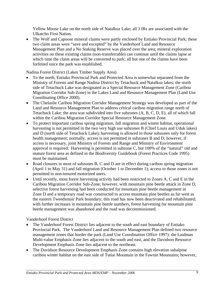Yellow Moose Lake on the north side of Natalkuz Lake; all 3 IRs are associated with the Ulkatcho First Nation.

• The Wolf and Capoose mineral claims were partly enclosed by Entiako Provincial Park; these two claim areas were "save and excepted" by the Vanderhoof Land and Resource Management Plan and a No Staking Reserve was placed over the area; mineral exploration activities on these existing claims (non-transferrable) can continue until the claims lapse at which time the claim areas will be converted to park; all but one of the claims have been forfeited since the park was established.

Nadina Forest District (Lakes Timber Supply Area)

- To the north, Entiako Provincial Park and Protected Area is somewhat separated from the Ministry of Forests and Range Nadina District by Tetachuck and Natalkuz lakes; the north side of Tetachuck Lake was designated as a Special Resource Management Zone (Caribou Migration Corridor Sub-Zone) in the Lakes Land and Resource Management Plan (Land Use Coordinating Office 2000).
- The Chelaslie Caribou Migration Corridor Management Strategy was developed as part of the Land and Resource Management Plan to address critical caribou migration range north of Tetachuck Lake; the area was subdivided into five subzones (A, B, C, D, E), all of which fall within the Caribou Migration Corridor Special Resource Management Zone.
- To protect important caribou spring migration, fall migration and winter habitat, operational harvesting is not permitted in the two very high use subzones B (Chief Louis and Uduk lakes) and D (north side of Tetachuck Lake); harvesting is allowed in those subzones only for forest health management; normally, access is not permitted in subzones B and D; however, if access is necessary, joint Ministry of Forests and Range and Ministry of Environment approval is required. Harvesting is permitted in subzone C, but 100% of the "natural" old and mature forest area as defined in the Biodiversity Guidebook (Forest Practices Code 1995) must be maintained.
- Road closures in most of subzones B, C and D are in effect during caribou spring migration (April 1 to May 31) and fall migration (October 1 to December 1); access to those zones is not permitted to non-tenured motorized users.
- Until recently, most forest harvesting activity had been restricted to Zones A, C and E in the Caribou Migration Corridor Sub-Zone; however, with mountain pine beetle attack in Zone D, selective forest harvesting had been conducted for mountain pine beetle management in Zone D and a temporary road was constructed to access mountain pine beetles as far west as the eastern Tweedsmuir Park boundary; this road has now been deactivated and rehabilitated; with further increases in mountain pine beetle numbers, forest harvesting for mountain pine beetle management was abandoned and the road was decommissioned.

Vanderhoof Forest District

- The Vanderhoof Forest District lies adjacent to the south and east boundary of Entiako Provincial Park. The Vanderhoof Land and Resource Management Plan defined two resource management zones that border the park (Land Use Coordination Office 1997): the Laidman Multi-value Emphasis Zone lies adjacent to the south and east, and the Davidson Resource Development Emphasis Zone lies adjacent to the northeast.
- The Davidson Resource Development Emphasis Zone contains high elevation subalpine caribou winter habitat on the east side of Tutiai Mountain in the Fawnie Mountains; however,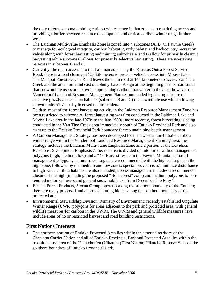the only reference to maintaining caribou winter range in that zone is to restricting access and providing a buffer between resource development and critical caribou winter range further west.

- The Laidman Multi-value Emphasis Zone is zoned into 4 subzones (A, B, C, Fawnie Creek) to manage for ecological integrity, caribou habitat, grizzly habitat and backcountry recreation values along with forest harvesting and mining; subzones A and B allow for primarily clearcut harvesting while subzone C allows for primarily selective harvesting. There are no-staking reserves in subzones B and C.
- Currently, the main access into the Laidman zone is by the Kluskus Ootsa Forest Service Road; there is a road closure at 158 kilometers to prevent vehicle access into Moose Lake. The Malaput Forest Service Road leaves the main road at 144 kilometers to access Van Tine Creek and the area north and east of Johnny Lake. A sign at the beginning of this road states that snowmobile users are to avoid approaching caribou that winter in the area; however the Vanderhoof Land and Resource Management Plan recommended legislating closure of sensitive grizzly and caribou habitats (subzones B and C) to snowmobile use while allowing snowmobile/ATV use by licensed tenure holders.
- To date, most of the forest harvesting activity in the Laidman Resource Management Zone has been restricted to subzone A; forest harvesting was first conducted in the Laidman Lake and Moose Lake area in the late 1970s to the late 1980s; more recently, forest harvesting is being conducted in the Van Tine Creek area immediately south of Entiako Provincial Park and also right up to the Entiako Provincial Park boundary for mountain pine beetle management.
- A Caribou Management Strategy has been developed for the Tweedsmuir-Entiako caribou winter range within the Vanderhoof Land and Resource Management Planning area; the strategy includes the Laidman Multi-value Emphasis Zone and a portion of the Davidson Resource Development Emphasis Zone; the area is divided up into three caribou management polygons (high, medium, low) and a "No Harvest" zone in the Fawnie Mountains; for all management polygons, mature forest targets are recommended with the highest targets in the high zone, followed by the medium and low zones; special provisions to minimize disturbance in high value caribou habitats are also included; access management includes a recommended closure of the high (including the proposed "No Harvest" zone) and medium polygons to nontenured motorized users and general snowmobile use from December 1 to May 1.
- Plateau Forest Products, Slocan Group, operates along the southern boundary of the Entiako; there are many proposed and approved cutting blocks along the southern boundary of the protected area.
- Environmental Stewardship Division (Ministry of Environment) recently established Ungulate Winter Range (UWR) polygons for areas adjacent to the park and protected area, with general wildlife measures for caribou in the UWRs. The UWRs and general wildlife measures have include areas of no or restricted harvest and road building restrictions.

## **First Nations Interests**

• The northern portion of Entiako Protected Area lies within the asserted territory of the Cheslatta Carrier Nation and all of Entiako Provincial Park and Protected Area lies within the traditional use area of the Ulkatchot'en (Ulkatcho) First Nation; Ulkatcho Reserve #1 is on the southern boundary of Entiako Provincial Park.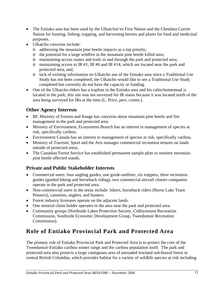- The Entiako area has been used by the Ulkatchot'en First Nation and the Cheslatta Carrier Nation for hunting, fishing, trapping, and harvesting berries and plants for food and medicinal purposes.
- Ulkatcho concerns include:
	- o addressing the mountain pine beetle impacts as a top priority;
	- o the potential for a large wildfire in the mountain pine beetle killed area;
	- o maintaining access routes and trails in and through the park and protected area;
	- o maintaining access to IR #1, IR #6 and IR #14, which are located near the park and protected area; and,
	- o lack of existing information on Ulkatcho use of the Entiako area since a Traditional Use Study has not been completed; the Ulkatcho would like to see a Traditional Use Study completed but currently do not have the capacity or funding.
- One of the Ulkatcho elders has a trapline in the Entiako area and his cabin/homestead is located in the park; this site was not surveyed for IR status because it was located north of the area being surveyed for IRs at the time (L. Price, pers. comm.).

## **Other Agency Interests**

- BC Ministry of Forests and Range has concerns about mountain pine beetle and fire management in the park and protected area.
- Ministry of Environment, Ecosystems Branch has an interest in management of species at risk, specifically caribou.
- Environment Canada has an interest in management of species at risk, specifically caribou.
- Ministry of Tourism, Sport and the Arts manages commercial recreation tenures on lands outside of protected areas.
- The Canadian Forest Service has established permanent sample plots to monitor mountain pine beetle affected stands.

## **Private and Public Stakeholder Interests**

- Commercial users: four angling guides, one guide-outfitter, six trappers, three recreation guides (guided hiking and horseback riding), two commercial aircraft charter companies operate in the park and protected area.
- Non-commercial users in the areas include: hikers, horseback riders (Burns Lake Team Penners), canoeists, anglers, and hunters.
- Forest industry licensees operate on the adjacent lands.
- One mineral claim holder operates in the area near the park and protected area.
- Community groups (Northside Lakes Protection Society, Colleymount Recreation Commission, Southside Economic Development Group, Tweedsmuir Recreation Commission).

# **Role of Entiako Provincial Park and Protected Area**

The primary role of Entiako Provincial Park and Protected Area is to protect the core of the Tweedsmuir-Entiako caribou winter range and the caribou population itself. The park and protected area also protects a large contiguous area of unroaded lowland sub-boreal forest in central British Columbia, which provides habitat for a variety of wildlife species at risk including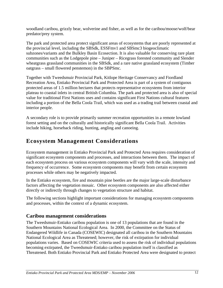woodland caribou, grizzly bear, wolverine and fisher, as well as for the caribou/moose/wolf/bear predator/prey system.

The park and protected area protect significant areas of ecosystems that are poorly represented at the provincial level, including the SBSdk, ESSFmv1 and SBSmc3 biogeoclimatic subzones/variants and the Bulkley Basin Ecosection. It is also valuable for conserving rare plant communities such as the Lodgepole pine – Juniper – Ricegrass forested community and Slender wheatgrass grassland communities in the SBSdk, and a rare native grassland ecosystem (Timber oatgrass – small flowered penstemon) in the SBPSmc.

Together with Tweedsmuir Provincial Park, Kitlope Heritage Conservancy and Fiordland Recreation Area, Entiako Provincial Park and Protected Area is part of a system of contiguous protected areas of 1.5 million hectares that protects representative ecosystems from interior plateau to coastal inlets in central British Columbia. The park and protected area is also of special value for traditional First Nations uses and contains significant First Nations cultural features including a portion of the Bella Coola Trail, which was used as a trading trail between coastal and interior people.

A secondary role is to provide primarily summer recreation opportunities in a remote lowland forest setting and on the culturally and historically significant Bella Coola Trail. Activities include hiking, horseback riding, hunting, angling and canoeing.

# **Ecosystem Management Considerations**

Ecosystem management in Entiako Provincial Park and Protected Area requires consideration of significant ecosystem components and processes, and interactions between them. The impact of each ecosystem process on various ecosystem components will vary with the scale, intensity and frequency of occurrence. Some ecosystem components may benefit from certain ecosystem processes while others may be negatively impacted.

In the Entiako ecosystem, fire and mountain pine beetles are the major large-scale disturbance factors affecting the vegetation mosaic. Other ecosystem components are also affected either directly or indirectly through changes to vegetation structure and habitat.

The following sections highlight important considerations for managing ecosystem components and processes, within the context of a dynamic ecosystem.

## **Caribou management considerations**

The Tweedsmuir-Entiako caribou population is one of 13 populations that are found in the Southern Mountains National Ecological Area. In 2000, the Committee on the Status of Endangered Wildlife in Canada (COSEWIC) designated all caribou in the Southern Mountains National Ecological Area as Threatened; however, the risk of extirpation for individual populations varies. Based on COSEWIC criteria used to assess the risk of individual populations becoming extirpated, the Tweedsmuir-Entiako caribou population itself is classified as Threatened. Both Entiako Provincial Park and Entiako Protected Area were designated to protect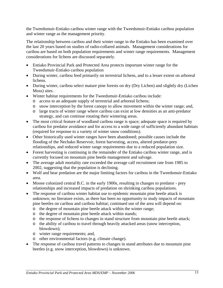the Tweedsmuir-Entiako caribou winter range with the Tweedsmuir-Entiako caribou population and winter range as the management priority.

The relationship between caribou and their winter range in the Entiako has been examined over the last 20 years based on studies of radio-collared animals. Management considerations for caribou are based on both population requirements and winter range requirements. Management considerations for lichens are discussed separately.

- Entiako Provincial Park and Protected Area protects important winter range for the Tweedsmuir-Entiako caribou population
- During winter, caribou feed primarily on terrestrial lichens, and to a lesser extent on arboreal lichens.
- During winter, caribou select mature pine forests on dry (Dry Lichen) and slightly dry (Lichen Moss) sites.
- Winter habitat requirements for the Tweedsmuir-Entiako caribou include:
	- o access to an adequate supply of terrestrial and arboreal lichens;
	- o snow interception by the forest canopy to allow movement within the winter range; and,
	- o large tracts of winter range where caribou can exist at low densities as an anti-predator strategy, and can continue rotating their wintering areas.
- The most critical feature of woodland caribou range is space; adequate space is required by caribou for predator avoidance and for access to a wide range of sufficiently abundant habitats (required for response to a variety of winter snow conditions).
- Other historically used winter ranges have been abandoned; possible causes include the flooding of the Nechako Reservoir, forest harvesting, access, altered predator-prey relationships, and reduced winter range requirements due to a reduced population size.
- Forest harvesting is continuing in the remainder of the Entiako caribou winter range, and is currently focused on mountain pine beetle management and salvage.
- The average adult mortality rate exceeded the average calf recruitment rate from 1985 to 2002, suggesting that the population is declining.
- Wolf and bear predation are the major limiting factors for caribou in the Tweedsmuir-Entiako area.
- Moose colonized central B.C. in the early 1900s, resulting in changes to predator prey relationships and increased impacts of predation on shrinking caribou populations.
- The response of caribou winter habitat use to epidemic mountain pine beetle attack is unknown; no literature exists, as there has been no opportunity to study impacts of mountain pine beetles on caribou and caribou habitat; continued use of the area will depend on:
	- o the degree of mountain pine beetle attack within the winter range;
	- o the degree of mountain pine beetle attack within stands;
	- o the response of lichens to changes in stand structure from mountain pine beetle attack;
	- o the ability of caribou to travel through heavily attacked areas (snow interception, blowdown);
	- o winter range requirements; and,
	- o other environmental factors (e.g. climate change).
- The response of caribou travel patterns to changes in stand attributes due to mountain pine beetles (e.g. snow interception, blowdown) is unknown.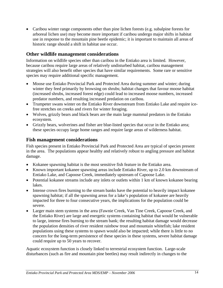• Caribou winter range components other than pine lichen forests (e.g. subalpine forests for arboreal lichen use) may become more important if caribou undergo major shifts in habitat use in response to the mountain pine beetle epidemic; it is important to maintain all areas of historic range should a shift in habitat use occur.

#### **Other wildlife management considerations**

Information on wildlife species other than caribou in the Entiako area is limited. However, because caribou require large areas of relatively undisturbed habitat, caribou management strategies will also benefit other species that have similar requirements. Some rare or sensitive species may require additional specific management.

- Moose use Entiako Provincial Park and Protected Area during summer and winter; during winter they feed primarily by browsing on shrubs; habitat changes that favour moose habitat (increased shrubs, increased forest edge) could lead to increased moose numbers, increased predator numbers, and resulting increased predation on caribou.
- Trumpeter swans winter on the Entiako River downstream from Entiako Lake and require icefree stretches on creeks and rivers for winter foraging.
- Wolves, grizzly bears and black bears are the main large mammal predators in the Entiako ecosystem.
- Grizzly bears, wolverines and fisher are blue-listed species that occur in the Entiako area; these species occupy large home ranges and require large areas of wilderness habitat.

#### **Fish management considerations**

Fish species present in Entiako Provincial Park and Protected Area are typical of species present in the area. The populations appear healthy and relatively robust to angling pressure and habitat damage.

- Kokanee spawning habitat is the most sensitive fish feature in the Entiako area.
- Known important kokanee spawning areas include Entiako River, up to 2.0 km downstream of Entiako Lake, and Capoose Creek, immediately upstream of Capoose Lake.
- Potential kokanee streams include any inlets or outlets within 1 km of known kokanee bearing lakes.
- Intense crown fires burning to the stream banks have the potential to heavily impact kokanee spawning habitat; if all the spawning areas for a lake's population of kokanee are heavily impacted for three to four consecutive years, the implications for the population could be severe.
- Larger main stem systems in the area (Fawnie Creek, Van Tine Creek, Capoose Creek, and the Entiako River) are large and energetic systems containing habitat that would be vulnerable to large, intense fires burning to the stream bank; the resulting habitat damage would decrease the population densities of river resident rainbow trout and mountain whitefish; lake resident populations using these systems to spawn would also be impacted; while there is little to no concern for the long-term persistence of these species in these systems, severe habitat damage could require up to 50 years to recover.

Aquatic ecosystem function is closely linked to terrestrial ecosystem function. Large-scale disturbances (such as fire and mountain pine beetles) may result indirectly in changes to the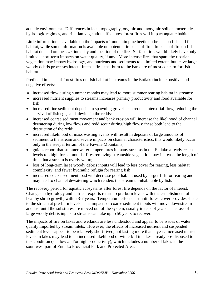aquatic environment. Differences in local topography, organic and inorganic soil characteristics, hydrologic regimes, and riparian vegetation affect how forest fires will impact aquatic habitats.

Little information is available on the impacts of mountain pine beetle outbreaks on fish and fish habitat, while some information is available on potential impacts of fire. Impacts of fire on fish habitat depend on the size, intensity and location of the fire. Surface fires would likely have only limited, short-term impacts on water quality, if any. More intense fires that spare the riparian vegetation may impact hydrology, and nutrients and sediments to a limited extent, but leave large woody debris processes intact. Intense fires that burn to the bank are of most concern for fish habitat.

Predicted impacts of forest fires on fish habitat in streams in the Entiako include positive and negative effects:

- increased flow during summer months may lead to more summer rearing habitat in streams;
- increased nutrient supplies to streams increases primary productivity and food available for fish;
- increased fine sediment deposits in spawning gravels can reduce interstitial flow, reducing the survival of fish eggs and alevins in the redds;
- increased coarse sediment movement and bank erosion will increase the likelihood of channel dewatering during low flows and redd scour during high flows; these both lead to the destruction of the redd;
- increased likelihood of mass wasting events will result in deposits of large amounts of sediment to the stream and severe impacts on channel characteristics; this would likely occur only in the steeper terrain of the Fawnie Mountains;
- guides report that summer water temperatures in many streams in the Entiako already reach levels too high for salmonids; fires removing streamside vegetation may increase the length of time that a stream is overly warm;
- loss of long-term large woody debris inputs will lead to less cover for rearing, less habitat complexity, and fewer hydraulic refugia for rearing fish;
- increased coarse sediment load will decrease pool habitat used by larger fish for rearing and may lead to channel dewatering which renders the stream uninhabitable by fish.

The recovery period for aquatic ecosystems after forest fire depends on the factor of interest. Changes in hydrology and nutrient exports return to pre-burn levels with the establishment of healthy shrub growth, within 3-7 years. Temperature effects last until forest cover provides shade to the stream at pre-burn levels. The impacts of coarse sediment inputs will move downstream and last until the substrates are moved out of the system, usually in tens of years. The loss of large woody debris inputs to streams can take up to 50 years to recover.

The impacts of fire on lakes and wetlands are less understood and appear to be issues of water quality imported by stream inlets. However, the effects of increased nutrient and suspended sediment levels appear to be relatively short-lived, not lasting more than a year. Increased nutrient levels in lakes may lead to an increased likelihood of winterkill in lakes already pre-disposed to this condition (shallow and/or high productivity), which includes a number of lakes in the southwest part of Entiako Provincial Park and Protected Area.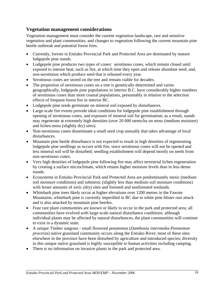### **Vegetation management considerations**

Vegetation management must consider the current vegetation landscape, rare and sensitive vegetation and plant communities, and changes to vegetation following the current mountain pine beetle outbreak and potential forest fires.

- Currently, forests in Entiako Provincial Park and Protected Area are dominated by mature lodgepole pine stands.
- Lodgepole pine produces two types of cones: serotinous cones, which remain closed until exposed to intense heat, such as fire, at which time they open and release abundant seed; and, non-serotinous which produce seed that is released every year.
- Serotinous cones are stored on the tree and remain viable for decades.
- The proportion of serotinous cones on a tree is genetically determined and varies geographically; lodgepole pine populations in interior B.C. have considerably higher numbers of serotinous cones than more coastal populations, presumably in relation to the selection effects of frequent forest fire in interior BC.
- Lodgepole pine seeds germinate on mineral soil exposed by disturbances.
- Large-scale fire events provide ideal conditions for lodgepole pine establishment through opening of serotinous cones, and exposure of mineral soil for germination; as a result, stands may regenerate at extremely high densities (over 20 000 stems/ha on moss (medium moisture) and lichen moss (slightly dry) sites).
- Non-serotinous cones disseminate a small seed crop annually that takes advantage of local disturbances.
- Mountain pine beetle disturbance is not expected to result in high densities of regenerating lodgepole pine seedlings as occurs with fire, since serotinous cones will not be opened and less mineral soil will be disturbed; seedling establishment will depend mostly on seeds from non-serotinous cones.
- Very high densities of lodgepole pine following fire may affect terrestrial lichen regeneration by creating a surface microclimate, which retains higher moisture levels than in less dense stands.
- Ecosystems in Entiako Provincial Park and Protected Area are predominantly mesic (medium soil moisture conditions) and submesic (slightly less than medium soil moisture conditions) with lesser amounts of xeric (dry) sites and forested and nonforested wetlands.
- Whitebark pine trees likely occur at higher elevations over 1200 metres in the Fawnie Mountains; whitebark pine is currently imperilled in BC due to white pine blister rust attack and is also attacked by mountain pine beetles.
- Four rare plant communities are known or likely to occur in the park and protected area; all communities have evolved with large-scale natural disturbance conditions; although individual plants may be affected by natural disturbances, the plant communities will continue to exist in a dynamic state.
- A unique Timber oatgrass small flowered penstemon (*Danthonia intermedia*-*Penstemon proceras*) native grassland community occurs along the Entiako River; most of these sites elsewhere in the province have been disturbed by agriculture and introduced species; diversity in this unique native grassland is highly susceptible to human activities including camping.
- There is no information on invasive plants in the park and protected area.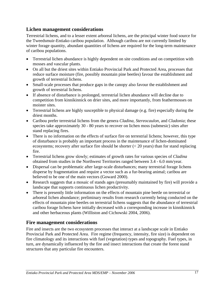## **Lichen management considerations**

Terrestrial lichens, and to a lesser extent arboreal lichens, are the principal winter food source for the Tweedsmuir-Entiako caribou population. Although caribou are not currently limited by winter forage quantity, abundant quantities of lichens are required for the long-term maintenance of caribou populations.

- Terrestrial lichen abundance is highly dependent on site conditions and on competition with mosses and vascular plants.
- On all but the driest sites within Entiako Provincial Park and Protected Area, processes that reduce surface moisture (fire, possibly mountain pine beetles) favour the establishment and growth of terrestrial lichens.
- Small-scale processes that produce gaps in the canopy also favour the establishment and growth of terrestrial lichens.
- If absence of disturbance is prolonged, terrestrial lichen abundance will decline due to competition from kinnikinnick on drier sites, and more importantly, from feathermosses on moister sites.
- Terrestrial lichens are highly susceptible to physical damage (e.g. fire) especially during the driest months.
- Caribou prefer terrestrial lichens from the genera *Cladina, Stereocaulon,* and *Cladonia*; these species take approximately 30 - 80 years to recover on lichen moss (submesic) sites after stand replacing fires.
- There is no information on the effects of surface fire on terrestrial lichens; however, this type of disturbance is probably an important process in the maintenance of lichen-dominated ecosystems; recovery after surface fire should be shorter  $(< 20$  years) than for stand replacing fire.
- Terrestrial lichens grow slowly; estimates of growth rates for various species of *Cladina* obtained from studies in the Northwest Territories ranged between 3.4 - 6.0 mm/year.
- Dispersal can be problematic after large-scale disturbances; many terrestrial forage lichens disperse by fragmentation and require a vector such as a fur-bearing animal; caribou are believed to be one of the main vectors (Goward 2000).
- Research suggests that a mosaic of stands ages (presumably maintained by fire) will provide a landscape that supports continuous lichen productivity.
- There is presently little information on the effects of mountain pine beetle on terrestrial or arboreal lichen abundance; preliminary results from research currently being conducted on the effects of mountain pine beetles on terrestrial lichens suggests that the abundance of terrestrial caribou forage lichens have initially decreased with a corresponding increase in kinnikinnick and other herbaceous plants (Williston and Cichowski 2004, 2006).

#### **Fire management considerations**

Fire and insects are the two ecosystem processes that interact at a landscape scale in Entiako Provincial Park and Protected Area. Fire regime (frequency, intensity, fire size) is dependent on fire climatology and its interactions with fuel (vegetation) types and topography. Fuel types, in turn, are dynamically influenced by the fire and insect interactions that create the forest stand structures that any particular fire encounters.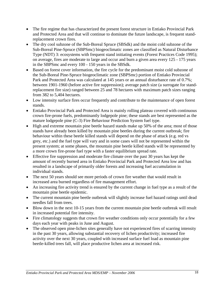- The fire regime that has characterized the present forest structure in Entiako Provincial Park and Protected Area and that will continue to dominate the future landscape, is frequent standreplacement crown fires.
- The dry cool subzone of the Sub-Boreal Spruce (SBSdk) and the moist cold subzone of the Sub-Boreal Pine-Spruce (SBPSmc) biogeoclimatic zones are classified as Natural Disturbance Type (NDT) 3: ecosystems with frequent stand initiating events (Forest Practices Code 1995); on average, fires are moderate to large and occur and burn a given area every 125 - 175 years in the SBPSmc and every 100 - 150 years in the SBSdk.
- Based on forest cover information, the fire cycle for the predominant moist cold subzone of the Sub-Boreal Pine-Spruce biogeoclimatic zone (SBPSmc) portion of Entiako Provincial Park and Protected Area was calculated at 145 years or an annual disturbance rate of 0.7%; between 1901-1960 (before active fire suppression); average patch size (a surrogate for standreplacement fire size) ranged between 25 and 78 hectares with maximum patch sizes ranging from 382 to 5,404 hectares.
- Low intensity surface fires occur frequently and contribute to the maintenance of open forest stands.
- Entiako Provincial Park and Protected Area is mainly rolling plateau covered with continuous crown fire-prone fuels, predominantly lodgepole pine; these stands are best represented as the mature lodgepole pine (C-3) Fire Behaviour Prediction System fuel type.
- High and extreme mountain pine beetle hazard stands make up 50% of the area; most of those stands have already been killed by mountain pine beetles during the current outbreak; fire behaviour within these beetle killed stands will depend on the phase of attack (e.g. red vs grey, etc.) and the fuel type will vary and in some cases will not be represented within the present system; at some phases, the mountain pine beetle killed stands will be represented by a more crown fire-prone fuel type with a faster equilibrium spread rate.
- Effective fire suppression and moderate fire climate over the past 30 years has kept the amount of recently burned area in Entiako Provincial Park and Protected Area low and has resulted in a landscape of primarily older forests and increasing fuel accumulation in individual stands.
- The next 50 years should see more periods of crown fire weather that would result in increased area burned regardless of fire management effort.
- An increasing fire activity trend is ensured by the current change in fuel type as a result of the mountain pine beetle epidemic.
- The current mountain pine beetle outbreak will slightly increase fuel hazard ratings until dead needles fall from trees.
- Blow down in the next 10-15 years from the current mountain pine beetle outbreak will result in increased potential fire intensity.
- Fire climatology suggests that crown fire weather conditions only occur potentially for a few days each year with peaks in June and August.
- The observed open pine-lichen sites generally have not experienced fires of scarring intensity in the past 30 years, allowing substantial recovery of lichen productivity; increased fire activity over the next 30 years, coupled with increased surface fuel load as mountain pine beetle-killed trees fall, will place productive lichen area at increased risk.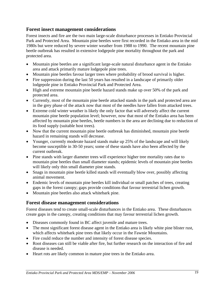#### **Forest insect management considerations**

Forest insects and fire are the two main large-scale disturbance processes in Entiako Provincial Park and Protected Area. Mountain pine beetles were first recorded in the Entiako area in the mid 1980s but were reduced by severe winter weather from 1988 to 1990. The recent mountain pine beetle outbreak has resulted in extensive lodgepole pine mortality throughout the park and protected area.

- Mountain pine beetles are a significant large-scale natural disturbance agent in the Entiako area and attack primarily mature lodgepole pine trees.
- Mountain pine beetles favour larger trees where probability of brood survival is higher.
- Fire suppression during the last 50 years has resulted in a landscape of primarily older lodgepole pine in Entiako Provincial Park and Protected Area.
- High and extreme mountain pine beetle hazard stands make up over 50% of the park and protected area.
- Currently, most of the mountain pine beetle attacked stands in the park and protected area are in the grey phase of the attack now that most of the needles have fallen from attacked trees.
- Extreme cold winter weather is likely the only factor that will adversely affect the current mountain pine beetle population level; however, now that most of the Entiako area has been affected by mountain pine beetles, beetle numbers in the area are declining due to reduction of its food supply (suitable host trees).
- Now that the current mountain pine beetle outbreak has diminished, mountain pine beetle hazard in remaining stands will decrease.
- Younger, currently moderate hazard stands make up 25% of the landscape and will likely become susceptible in 30-50 years; some of these stands have also been affected by the current outbreak.
- Pine stands with larger diameter trees will experience higher tree mortality rates due to mountain pine beetles than small diameter stands; epidemic levels of mountain pine beetles will likely only thin small diameter pine stands.
- Snags in mountain pine beetle killed stands will eventually blow over, possibly affecting animal movement.
- Endemic levels of mountain pine beetles kill individual or small patches of trees, creating gaps in the forest canopy; gaps provide conditions that favour terrestrial lichen growth.
- Mountain pine beetles also attack whitebark pine.

#### **Forest disease management considerations**

Forest diseases tend to create small-scale disturbances in the Entiako area. These disturbances create gaps in the canopy, creating conditions that may favour terrestrial lichen growth.

- Diseases commonly found in BC affect juvenile and mature trees.
- The most significant forest disease agent in the Entiako area is likely white pine blister rust, which affects whitebark pine trees that likely occur in the Fawnie Mountains.
- Fire could reduce the number and intensity of forest disease species.
- Root diseases can still be viable after fire, but further research on the interaction of fire and disease is needed.
- Heart rots are likely common in mature pine trees in the Entiako area.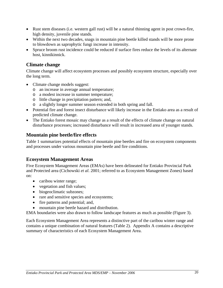- Rust stem diseases (i.e. western gall rust) will be a natural thinning agent in post crown-fire, high density, juvenile pine stands.
- Within the next two decades, snags in mountain pine beetle killed stands will be more prone to blowdown as saprophytic fungi increase in intensity.
- Spruce broom rust incidence could be reduced if surface fires reduce the levels of its alternate host, kinnikinnick.

## **Climate change**

Climate change will affect ecosystem processes and possibly ecosystem structure, especially over the long term.

- Climate change models suggest:
	- o an increase in average annual temperature;
	- o a modest increase in summer temperature;
	- o little change in precipitation pattern; and,
	- o a slightly longer summer season extended in both spring and fall.
- Potential fire and forest insect disturbance will likely increase in the Entiako area as a result of predicted climate change.
- The Entiako forest mosaic may change as a result of the effects of climate change on natural disturbance processes; increased disturbance will result in increased area of younger stands.

## **Mountain pine beetle/fire effects**

Table 1 summarizes potential effects of mountain pine beetles and fire on ecosystem components and processes under various mountain pine beetle and fire conditions.

#### **Ecosystem Management Areas**

Five Ecosystem Management Areas (EMAs) have been delineated for Entiako Provincial Park and Protected area (Cichowski *et al*. 2001; referred to as Ecosystem Management Zones) based on:

- caribou winter range;
- vegetation and fish values;
- biogeoclimatic subzones;
- rare and sensitive species and ecosystems;
- fire patterns and potential; and,
- mountain pine beetle hazard and distribution.

EMA boundaries were also drawn to follow landscape features as much as possible (Figure 3).

Each Ecosystem Management Area represents a distinctive part of the caribou winter range and contains a unique combination of natural features (Table 2). Appendix A contains a descriptive summary of characteristics of each Ecosystem Management Area.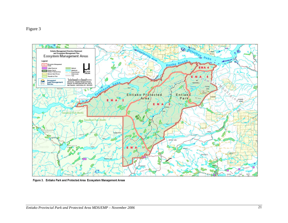

Figure 3. Entiako Park and Protected Area Ecosystem Management Areas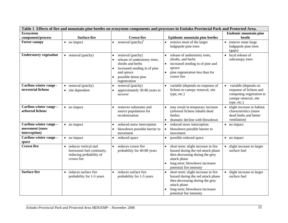| Table 1 Effects of fire and mountain pine beetles on ecosystem components and processes in Entiako Provincial Park and Protected Area. |                                                                                              |                                                                                                                                                                         |                                                                                                                                                                                           |                                                                                                                    |  |
|----------------------------------------------------------------------------------------------------------------------------------------|----------------------------------------------------------------------------------------------|-------------------------------------------------------------------------------------------------------------------------------------------------------------------------|-------------------------------------------------------------------------------------------------------------------------------------------------------------------------------------------|--------------------------------------------------------------------------------------------------------------------|--|
| Ecosystem                                                                                                                              |                                                                                              |                                                                                                                                                                         |                                                                                                                                                                                           | <b>Endemic mountain pine</b>                                                                                       |  |
| component/process                                                                                                                      | <b>Surface fire</b>                                                                          | <b>Crown fire</b>                                                                                                                                                       | <b>Epidemic mountain pine beetles</b>                                                                                                                                                     | beetle                                                                                                             |  |
| <b>Forest canopy</b>                                                                                                                   | • no impact                                                                                  | removal $(pathy)^1$                                                                                                                                                     | remove most of the larger<br>lodgepole pine trees                                                                                                                                         | • remove some large<br>lodgepole pine trees<br>(gaps)                                                              |  |
| <b>Understorey vegetation</b>                                                                                                          | • removal (patchy)                                                                           | removal (patchy)<br>$\bullet$<br>release of understorey trees,<br>shrubs and herbs<br>increased seeding in of pine<br>and spruce<br>possible dense pine<br>regeneration | release of understorey trees,<br>shrubs, and herbs<br>increased seeding in of pine and<br>spruce<br>pine regeneration less than for<br>crown fire                                         | local release of<br>$\bullet$<br>subcanopy trees                                                                   |  |
| Caribou winter range -<br>terrestrial lichens                                                                                          | • removal (patchy)<br>• site dependent                                                       | removal (patchy)<br>approximately 30-80 years to<br>recover                                                                                                             | variable (depends on response of<br>lichens to canopy removal, site<br>type, etc.)                                                                                                        | variable (depends on<br>response of lichens and<br>competing vegetration to<br>canopy removal, site<br>type, etc.) |  |
| Caribou winter range -<br>arboreal lichens                                                                                             | • no impact                                                                                  | removes substrates and<br>source populations for<br>recolonization                                                                                                      | may result in temporary increase<br>(arboreal lichens inhabit dead<br>limbs)<br>dramatic decline with blowdown                                                                            | slight increase in habitat<br>characteristics (more<br>dead limbs and better<br>ventilation)                       |  |
| Caribou winter range -<br>movement (snow<br>interception)                                                                              | • no impact                                                                                  | reduced snow interception<br>$\bullet$<br>blowdown possible barrier to<br>movement                                                                                      | reduced snow interception<br>blowdown possible barrier to<br>movement                                                                                                                     | • no impact                                                                                                        |  |
| Caribou winter range -<br>space                                                                                                        | $\bullet$ no impact                                                                          | reduced space                                                                                                                                                           | possible reduced space                                                                                                                                                                    | • no impact                                                                                                        |  |
| <b>Crown fire</b>                                                                                                                      | reduces vertical and<br>horizontal fuel continuity,<br>reducing probability of<br>crown fire | reduces crown fire<br>$\bullet$<br>probability for 40-80 years                                                                                                          | short term: slight increase in fire<br>hazard during the red attack phase<br>then decreasing during the grey<br>attack phase<br>long term: blowdown increases<br>potential fire intensity | slight increase in larger<br>surface fuel                                                                          |  |
| Surface fire                                                                                                                           | reduces surface fire<br>$\bullet$<br>probability for 1-5 years                               | reduces surface fire<br>$\bullet$<br>probability for 1-5 years                                                                                                          | short term: slight increase in fire<br>hazard during the red attack phase<br>then decreasing during the grey<br>attack phase<br>long term: blowdown increases<br>potential fire intensity | slight increase in larger<br>surface fuel                                                                          |  |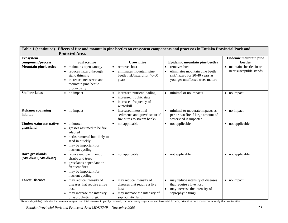| Table 1 (continued). Effects of fire and mountain pine beetles on ecosystem components and processes in Entiako Provincial Park and |                                                                                                                                                             |                                                                                                                        |                                                                                                                                  |                                                      |
|-------------------------------------------------------------------------------------------------------------------------------------|-------------------------------------------------------------------------------------------------------------------------------------------------------------|------------------------------------------------------------------------------------------------------------------------|----------------------------------------------------------------------------------------------------------------------------------|------------------------------------------------------|
|                                                                                                                                     | <b>Protected Area.</b>                                                                                                                                      |                                                                                                                        |                                                                                                                                  |                                                      |
| Ecosystem                                                                                                                           |                                                                                                                                                             |                                                                                                                        |                                                                                                                                  | <b>Endemic mountain pine</b>                         |
| component/process                                                                                                                   | <b>Surface fire</b>                                                                                                                                         | <b>Crown fire</b>                                                                                                      | <b>Epidemic mountain pine beetles</b>                                                                                            | beetles                                              |
| <b>Mountain pine beetles</b>                                                                                                        | • maintains open canopy<br>reduces hazard through<br>stand thinning<br>increases tree stress and<br>mountain pine beetle<br>productivity                    | removes host<br>$\bullet$<br>eliminates mountain pine<br>$\bullet$<br>beetle risk/hazard for 40-60<br>years            | removes host<br>eliminates mountain pine beetle<br>risk/hazard for 20-40 years as<br>younger unaffected trees mature             | • maintains beetles in or<br>near susceptible stands |
| <b>Shallow lakes</b>                                                                                                                | • no impact                                                                                                                                                 | increased nutrient loading<br>increased trophic state<br>$\bullet$<br>increased frequency of<br>winterkill             | minimal or no impacts                                                                                                            | • no impact                                          |
| <b>Kokanee spawning</b><br>habitat                                                                                                  | $\bullet$ no impact                                                                                                                                         | increased interstitial<br>sediments and gravel scour if<br>fire burns to stream banks                                  | minimal to moderate impacts as<br>per crown fire if large amount of<br>watershed is impacted.                                    | • no impact                                          |
| Timber oatgrass/native<br>grassland                                                                                                 | unknown<br>$\bullet$<br>grasses assumed to be fire<br>adapted<br>herbs removed but likely to<br>seed in quickly<br>may be important for<br>nutrient cycling | not applicable<br>$\bullet$                                                                                            | not applicable<br>$\bullet$                                                                                                      | • not applicable                                     |
| Rare grasslands<br>(SBSdk/81, SBSdk/82)                                                                                             | reduce encroachment of<br>shrubs and trees<br>grasslands dependant on<br>frequent fires<br>may be important for<br>nutrient cycling                         | not applicable                                                                                                         | not applicable                                                                                                                   | • not applicable                                     |
| <b>Forest Diseases</b>                                                                                                              | may reduce intensity of<br>diseases that require a live<br>host<br>may increase the intensity<br>of saprophytic fungi.                                      | may reduce intensity of<br>diseases that require a live<br>host<br>may increase the intensity of<br>saprophytic fungi. | may reduce intensity of diseases<br>that require a live host<br>may increase the intensity of<br>$\bullet$<br>saprophytic fungi. | • no impact                                          |

<sup>1</sup> Removal (patchy) indicates that removal ranges from total removal to patchy removal; for understorey vegetation and terrestrial lichens, drier sties burn more continuously than wetter sites.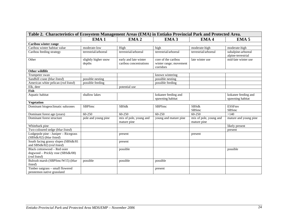| Table 2. Characteristics of Ecosystem Management Areas (EMA) in Entiako Provincial Park and Protected Area. |                                |                                                 |                                                            |                                                           |                                          |
|-------------------------------------------------------------------------------------------------------------|--------------------------------|-------------------------------------------------|------------------------------------------------------------|-----------------------------------------------------------|------------------------------------------|
|                                                                                                             | EMA <sub>1</sub>               | EMA <sub>2</sub>                                | EMA <sub>3</sub>                                           | EMA <sub>4</sub>                                          | EMA <sub>5</sub>                         |
| Caribou winter range                                                                                        |                                |                                                 |                                                            |                                                           |                                          |
| Caribou winter habitat value                                                                                | moderate-low                   | High                                            | high                                                       | moderate-high                                             | moderate-high                            |
| Caribou feeding strategy                                                                                    | terrestrial/arboreal           | terrestrial/arboreal                            | terrestrial/arboreal                                       | terrestrial/arboreal                                      | subalpine-arboreal<br>alpine-terrestrial |
| Other                                                                                                       | slightly higher snow<br>depths | early and late winter<br>caribou concentrations | core of the caribou<br>winter range; movement<br>corridors | late winter use                                           | mid-late winter use                      |
| Other wildlife                                                                                              |                                |                                                 |                                                            |                                                           |                                          |
| Trumpeter swan                                                                                              |                                |                                                 | known wintering                                            |                                                           |                                          |
| Sandhill crane (blue listed)                                                                                | possible nesting               |                                                 | possible nesting                                           |                                                           |                                          |
| American white pelican (red listed)                                                                         | possible feeding               |                                                 | possible feeding                                           |                                                           |                                          |
| Elk, deer                                                                                                   |                                | potential use                                   |                                                            |                                                           |                                          |
| Fish                                                                                                        |                                |                                                 |                                                            |                                                           |                                          |
| Aquatic habitat                                                                                             | shallow lakes                  |                                                 | kokanee feeding and<br>spawning habitat                    |                                                           | kokanee feeding and<br>spawning habitat  |
| <b>Vegetation</b>                                                                                           |                                |                                                 |                                                            |                                                           |                                          |
| Dominant biogeoclimatic subzones                                                                            | <b>SBPSmc</b>                  | <b>SBSdk</b>                                    | <b>SBPSmc</b>                                              | <b>SBSdk</b><br>SBSmc                                     | <b>ESSFmv</b><br>SBSmc                   |
| Dominant forest age (years)                                                                                 | $60 - 250$                     | 60-250                                          | $60 - 250$                                                 | 60-250                                                    | >140                                     |
| Dominant forest structure                                                                                   | pole and young pine            | mix of pole, young and<br>mature pine           | young and mature pine                                      | $\overline{\text{mix}}$ of pole, young and<br>mature pine | mature and young pine                    |
| Whitebark pine                                                                                              |                                |                                                 |                                                            |                                                           | likely present                           |
| Two-coloured sedge (blue listed)                                                                            |                                |                                                 |                                                            |                                                           | present                                  |
| Lodgepole pine - Juniper - Ricegrass<br>$(SBSdk/02)$ (blue listed)                                          |                                | present                                         |                                                            | present                                                   |                                          |
| South facing grassy slopes (SBSdk/81<br>and SBSdk/82) (red listed)                                          |                                | present                                         |                                                            |                                                           |                                          |
| Black cottonwood - Red osier<br>dogwood - Prickly rose (SBSdk/08)<br>(red listed)                           |                                | possible                                        |                                                            |                                                           | possible                                 |
| Bulrush marsh (SBPSmc/W15) (blue<br>listed)                                                                 | possible                       | possible                                        | possible                                                   |                                                           |                                          |
| Timber oatgrass - small flowered<br>penstemon native grassland                                              |                                |                                                 | present                                                    |                                                           |                                          |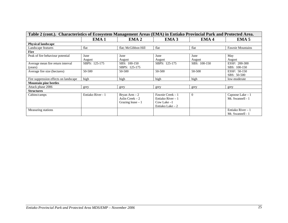| Table 2 (cont.). Characteristics of Ecosystem Management Areas (EMA) in Entiako Provincial Park and Protected Area. |                   |                     |                   |                  |                         |
|---------------------------------------------------------------------------------------------------------------------|-------------------|---------------------|-------------------|------------------|-------------------------|
|                                                                                                                     | EMA <sub>1</sub>  | EMA <sub>2</sub>    | EMA <sub>3</sub>  | EMA <sub>4</sub> | EMA <sub>5</sub>        |
| <b>Physical landscape</b>                                                                                           |                   |                     |                   |                  |                         |
| Landscape features                                                                                                  | flat              | flat; McGibbon Hill | flat              | flat             | <b>Fawnie Mountains</b> |
| Fire                                                                                                                |                   |                     |                   |                  |                         |
| Peak of fire behaviour potential                                                                                    | June              | June                | June              | June             | May                     |
|                                                                                                                     | August            | August              | August            | August           | August                  |
| Average mean fire return interval                                                                                   | SBPS: 125-175     | SBS: 100-150        | SBPS: 125-175     | SBS: 100-150     | ESSF: 200-300           |
| (years)                                                                                                             |                   | SBPS: 125-175       |                   |                  | SBS: 100-150            |
| Average fire size (hectares)                                                                                        | 50-500            | 50-500              | 50-500            | 50-500           | ESSF: 50-150            |
|                                                                                                                     |                   |                     |                   |                  | SBS: 50-500             |
| Fire suppression effects on landscape                                                                               | high              | high                | high              | high             | low-moderate            |
| <b>Mountain pine beetles</b>                                                                                        |                   |                     |                   |                  |                         |
| Attack phase 2006                                                                                                   | grey              | grey                | grey              | grey             | grey                    |
| <b>Structures</b>                                                                                                   |                   |                     |                   |                  |                         |
| Cabins/camps                                                                                                        | Entiako River - 1 | Bryan $Arm - 2$     | Fawnie Creek - 1  | $\Omega$         | Capoose Lake - 1        |
|                                                                                                                     |                   | Aslin Creek $-2$    | Entiako River – 1 |                  | Mt. Swannell - 1        |
|                                                                                                                     |                   | Grazing lease $-1$  | Cow Lake $-1$     |                  |                         |
|                                                                                                                     |                   |                     | Entiako Lake $-2$ |                  |                         |
| Measuring stations                                                                                                  |                   |                     |                   |                  | Entiako River – 1       |
|                                                                                                                     |                   |                     |                   |                  | Mt. Swannell - 1        |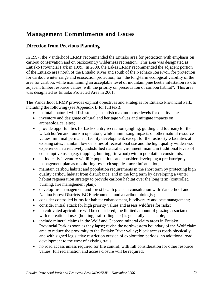# **Management Commitments and Issues**

## **Direction from Previous Planning**

In 1997, the Vanderhoof LRMP recommended the Entiako area for protection with emphasis on caribou conservation and on backcountry wilderness recreation. This area was designated as Entiako Provincial Park in 1999. In 2000, the Lakes LRMP recommended the adjacent portion of the Entiako area north of the Entiako River and south of the Nechako Reservoir for protection for caribou winter range and ecosection protection, for "the long-term ecological viability of the area for caribou, while maintaining an acceptable level of mountain pine beetle infestation risk to adjacent timber resource values, with the priority on preservation of caribou habitat". This area was designated as Entiako Protected Area in 2001.

The Vanderhoof LRMP provides explicit objectives and strategies for Entiako Provincial Park, including the following (see Appendix B for full text):

- maintain natural wild fish stocks; establish maximum use levels for quality lakes;
- inventory and designate cultural and heritage values and mitigate impacts on archaeological sites;
- provide opportunities for backcountry recreation (angling, guiding and tourism) for the Ulkatchot'en and tourism operators, while minimizing impacts on other natural resource values; minimal permanent facility development, except for the rustic-style facilities at existing sites; maintain low densities of recreational use and the high quality wilderness experience in a relatively undisturbed natural environment; maintain traditional levels of consumptive uses (e.g. trapping, hunting, firewood) within population constraints;
- periodically inventory wildlife populations and consider developing a predator/prey management plan as monitoring research supplies more information;
- maintain caribou habitat and population requirements in the short term by protecting high quality caribou habitat from disturbance, and in the long term by developing a winter habitat regeneration strategy to provide caribou habitat over the long term (controlled burning, fire management plan);
- develop fire management and forest health plans in consultation with Vanderhoof and Nadina Forest Districts, BC Environment, and a caribou biologist;
- consider controlled burns for habitat enhancement, biodiversity and pest management;
- consider initial attack for high priority values and assess wildfires for risks;
- no cultivated agriculture will be considered; the limited amount of grazing associated with recreational uses (hunting, trail-riding etc.) is generally acceptable;
- include mineral claims in the Wolf and Capoose mineral claim areas in Entiako Provincial Park as soon as they lapse; revise the northwestern boundary of the Wolf claim area to reduce the proximity to the Entiako River valley; block access roads physically and with signed legislative restriction outside of exploration periods; no additional road development to the west of existing trails;
- no road access unless required for fire control, with full consideration for other resource values; full reclamation and access closure will be required;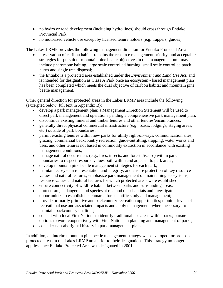- no hydro or road development (including hydro lines) should cross through Entiako Provincial Park;
- no motorized vehicle use except by licensed tenure holders (e.g. trappers, guides).

The Lakes LRMP provides the following management direction for Entiako Protected Area:

- preservation of caribou habitat remains the resource management priority, and acceptable strategies for pursuit of mountain pine beetle objectives in this management unit may include pheromone baiting, large scale controlled burning, small scale controlled patch burns and single tree disposal;
- the Entiako is a protected area established under the *Environment and Land Use Act*, and is intended for designation as Class A Park once an ecosystem - based management plan has been completed which meets the dual objective of caribou habitat and mountain pine beetle management.

Other general direction for protected areas in the Lakes LRMP area include the following (excerpted below; full text in Appendix B):

- develop a park management plan; a Management Direction Statement will be used to direct park management and operations pending a comprehensive park management plan;
- discontinue existing mineral and timber tenures and other tenures/encumbrances;
- generally direct physical commercial infrastructure (e.g., roads, lodgings, staging areas, etc.) outside of park boundaries;
- permit existing tenures within new parks for utility right-of-ways, communication sites, grazing, commercial backcountry recreation, guide-outfitting, trapping, water works and uses, and other tenures not based in commodity extraction in accordance with existing management conditions;
- manage natural occurrences (e.g., fires, insects, and forest disease) within park boundaries to respect resource values both within and adjacent to park areas;
- develop mountain pine beetle management strategies for each park;
- maintain ecosystem representation and integrity, and ensure protection of key resource values and natural features; emphasize park management on maintaining ecosystems, resource values and natural features for which protected areas were established;
- ensure connectivity of wildlife habitat between parks and surrounding areas;
- protect rare, endangered and species at risk and their habitats and investigate opportunities to establish benchmarks for scientific study and management;
- provide primarily primitive and backcountry recreation opportunities; monitor levels of recreational use and associated impacts and apply management, where necessary, to maintain backcountry qualities;
- consult with local First Nations to identify traditional use areas within parks; pursue options to work cooperatively with First Nations in planning and management of parks;
- consider non-aboriginal history in park management plans.

In addition, an interim mountain pine beetle management strategy was developed for proposed protected areas in the Lakes LRMP area prior to their designation. This strategy no longer applies since Entiako Protected Area was designated in 2001.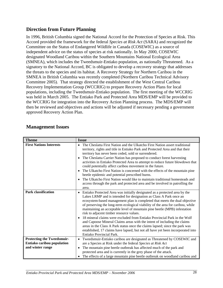## **Direction from Future Planning**

In 1996, British Columbia signed the National Accord for the Protection of Species at Risk. This Accord provided the framework for the federal *Species at Risk Act* (SARA) and recognized the Committee on the Status of Endangered Wildlife in Canada (COSEWIC) as a source of independent advice on the status of species at risk nationally. In May 2000, COSEWIC designated Woodland Caribou within the Southern Mountains National Ecological Area (SMNEA), which includes the Tweedsmuir-Entiako population, as nationally Threatened. As a signatory to the National Accord, BC is obligated to develop a recovery strategy that addresses the threats to the species and its habitat. A Recovery Strategy for Northern Caribou in the SMNEA in British Columbia was recently completed (Northern Caribou Technical Advisory Committee 2005). That strategy directed the establishment of the West Central Caribou Recovery Implementation Group (WCCRIG) to prepare Recovery Action Plans for local populations, including the Tweedsmuir-Entiako population. The first meeting of the WCCRIG was held in March 2005. The Entiako Park and Protected Area MDS/EMP will be provided to the WCCRIG for integration into the Recovery Action Planning process. The MDS/EMP will then be reviewed and objectives and actions will be adjusted if necessary pending a government approved Recovery Action Plan.

#### **Management Issues**

| <b>Theme</b>                                                                        | <b>Issue</b>                                                                                                                                                                                                                                                                                                                                                                                                                                                                                                                                                                                                                                                                                                                                                                                                               |
|-------------------------------------------------------------------------------------|----------------------------------------------------------------------------------------------------------------------------------------------------------------------------------------------------------------------------------------------------------------------------------------------------------------------------------------------------------------------------------------------------------------------------------------------------------------------------------------------------------------------------------------------------------------------------------------------------------------------------------------------------------------------------------------------------------------------------------------------------------------------------------------------------------------------------|
| <b>First Nations Interests</b>                                                      | The Cheslatta First Nation and the Ulkatcho First Nation assert traditional<br>territory, rights and title in Entiako Park and Protected Area and that their<br>territory has never been ceded, sold or surrendered.<br>The Cheslatta Carrier Nation has proposed to conduct forest harvesting<br>$\bullet$<br>activities in Entiako Protected Area to attempt to reduce future blowdown that<br>could potentially affect caribou movement in the future.<br>The Ulkatcho First Nation is concerned with the effects of the mountain pine<br>$\bullet$<br>beetle epidemic and potential prescribed burns.<br>The Ulkatcho First Nation would like to maintain traditional homesteads and<br>$\bullet$<br>access through the park and protected area and be involved in patrolling the<br>area.                             |
| <b>Park classification</b>                                                          | Entiako Protected Area was initially designated as a protected area by the<br>$\bullet$<br>Lakes LRMP and is intended for designation as Class A Park once an<br>ecosystem-based management plan is completed that meets the dual objective<br>of preserving the long-term ecological viability of the area for caribou, while<br>maintaining an acceptable level of mountain pine beetle (MPB) infestation<br>risk to adjacent timber resource values.<br>18 mineral claims were excluded from Entiako Provincial Park in the Wolf<br>$\bullet$<br>and Capoose Mineral Claims areas with the intent of including the claims<br>areas in the Class A Park status once the claims lapsed; since the park was<br>established, 17 claims have lapsed, but not all have yet been incorporated into<br>Entiako Provincial Park. |
| <b>Protecting the Tweedsmuir-</b><br>Entiako caribou population<br>and winter range | Tweedsmuir-Entiako caribou are designated as Threatened by COSEWIC and<br>$\bullet$<br>are a Species at Risk under the federal Species at Risk Act<br>The mountain pine beetle outbreak has affected much of the park and<br>$\bullet$<br>protected area and is currently in the grey phase of the attack.<br>The effects of a large mountain pine beetle outbreak on woodland caribou and                                                                                                                                                                                                                                                                                                                                                                                                                                 |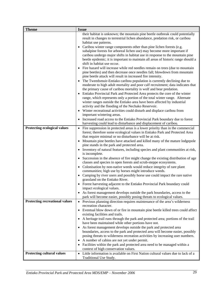| <b>Theme</b>                          | <b>Issue</b>                                                                                                                                                   |
|---------------------------------------|----------------------------------------------------------------------------------------------------------------------------------------------------------------|
|                                       | their habitat is unknown; the mountain pine beetle outbreak could potentially<br>result in changes to terrestrial lichen abundance, predation risk, or caribou |
|                                       | habitat use patterns.                                                                                                                                          |
|                                       | Caribou winter range components other than pine lichen forests (e.g.<br>$\bullet$                                                                              |
|                                       | subalpine forests for arboreal lichen use) may become more important if<br>caribou undergo major shifts in habitat use in response to the mountain pine        |
|                                       | beetle epidemic; it is important to maintain all areas of historic range should a                                                                              |
|                                       | shift in habitat use occur.                                                                                                                                    |
|                                       | Fire hazard will increase while red needles remain on trees (due to mountain                                                                                   |
|                                       | pine beetles) and then decrease once needles fall; blowdown from mountain<br>pine beetle attack will result in increased fire intensity.                       |
|                                       | The Tweedsmuir-Entiako caribou population is currently declining due to                                                                                        |
|                                       | moderate to high adult mortality and poor calf recruitment; data indicates that                                                                                |
|                                       | the primary cause of caribou mortality is wolf and bear predation.                                                                                             |
|                                       | Entiako Provincial Park and Protected Area protects the core of the winter                                                                                     |
|                                       | range, which represents only a portion of the total winter range. Alternate                                                                                    |
|                                       | winter ranges outside the Entiako area have been affected by industrial                                                                                        |
|                                       | activity and the flooding of the Nechako Reservoir.<br>• Winter recreational activities could disturb and displace caribou from                                |
|                                       | important wintering areas.                                                                                                                                     |
|                                       | Increased road access to the Entiako Provincial Park boundary due to forest                                                                                    |
|                                       | harvesting could lead to disturbance and displacement of caribou.                                                                                              |
| Protecting ecological values          | • Fire suppression in protected areas is a lower priority than in the commercial                                                                               |
|                                       | forest; therefore some ecological values in Entiako Park and Protected Area                                                                                    |
|                                       | that require minimal or no disturbance will be at risk.<br>• Mountain pine beetles have attacked and killed many of the mature lodgepole                       |
|                                       | pine stands in the park and protected area.                                                                                                                    |
|                                       | • Inventory of natural features, including species and plant communities at risk,                                                                              |
|                                       | is incomplete.                                                                                                                                                 |
|                                       | Succession in the absence of fire might change the existing distribution of age<br>$\bullet$                                                                   |
|                                       | classes and species in open forests and scrub-steppe ecosystems.                                                                                               |
|                                       | • Colonisation by non-native weeds would reduce integrity of rare plant                                                                                        |
|                                       | communities; high use by horses might introduce weeds.<br>Camping by river users and possibly horse use could impact the rare native<br>$\bullet$              |
|                                       | grassland on the Entiako River.                                                                                                                                |
|                                       | Forest harvesting adjacent to the Entiako Provincial Park boundary could<br>$\bullet$<br>impact ecological values.                                             |
|                                       | As forest management develops outside the park boundaries, access to the                                                                                       |
|                                       | park will become easier, possibly posing threats to ecological values.                                                                                         |
| <b>Protecting recreational values</b> | Previous planning direction requires maintenance of the area's wilderness<br>$\bullet$                                                                         |
|                                       | recreation character.                                                                                                                                          |
|                                       | Eventual blow down of or fire in mountain pine beetle killed trees could affect<br>$\bullet$<br>existing facilities and trails.                                |
|                                       | A heritage trail runs through the park and protected area; portions of the trail<br>٠                                                                          |
|                                       | have been maintained while other portions have not.                                                                                                            |
|                                       | As forest management develops outside the park and protected area<br>٠                                                                                         |
|                                       | boundaries, access to the park and protected area will become easier, possibly                                                                                 |
|                                       | posing threats to wilderness recreation activities by increasing user numbers.                                                                                 |
|                                       | A number of cabins are not yet under permit.                                                                                                                   |
|                                       | Facilities within the park and protected area need to be managed within a<br>context of high conservation values.                                              |
| <b>Protecting cultural values</b>     | Little information is available on First Nation cultural values due to lack of a<br>$\bullet$                                                                  |
|                                       | Traditional Use Study.                                                                                                                                         |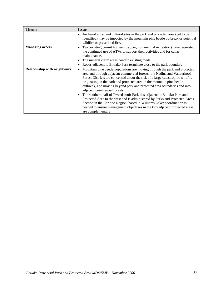| <b>Theme</b>                        | <b>Issue</b>                                                                                                                                                                                                                                                                                                                                                                                                                                                                                                                                                                                                                                                                                                                                                                          |
|-------------------------------------|---------------------------------------------------------------------------------------------------------------------------------------------------------------------------------------------------------------------------------------------------------------------------------------------------------------------------------------------------------------------------------------------------------------------------------------------------------------------------------------------------------------------------------------------------------------------------------------------------------------------------------------------------------------------------------------------------------------------------------------------------------------------------------------|
|                                     | Archaeological and cultural sites in the park and protected area (yet to be<br>٠<br>identified) may be impacted by the mountain pine beetle outbreak or potential<br>wildfire or prescribed fire.                                                                                                                                                                                                                                                                                                                                                                                                                                                                                                                                                                                     |
| <b>Managing access</b>              | Two existing permit holders (trapper, commercial recreation) have requested<br>٠<br>the continued use of ATVs to support their activities and for camp<br>maintenance.<br>The mineral claim areas contain existing roads.<br>$\bullet$<br>Roads adjacent to Entiako Park terminate close to the park boundary.<br>٠                                                                                                                                                                                                                                                                                                                                                                                                                                                                   |
| <b>Relationship with neighbours</b> | Mountain pine beetle populations are moving through the park and protected<br>٠<br>area and through adjacent commercial forests; the Nadina and Vanderhoof<br>Forest Districts are concerned about the risk of a large catastrophic wildfire<br>originating in the park and protected area in the mountain pine beetle<br>outbreak, and moving beyond park and protected area boundaries and into<br>adjacent commercial forests.<br>The southern half of Tweedsmuir Park lies adjacent to Entiako Park and<br>$\bullet$<br>Protected Area to the west and is administered by Parks and Protected Areas<br>Section in the Cariboo Region, based in Williams Lake; coordination is<br>needed to ensure management objectives in the two adjacent protected areas<br>are complementary. |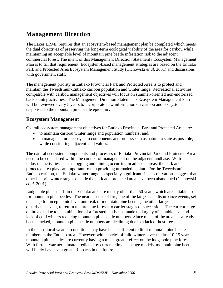# **Management Direction**

The Lakes LRMP requires that an ecosystem-based management plan be completed which meets the dual objectives of preserving the long-term ecological viability of the area for caribou while maintaining an acceptable level of mountain pine beetle infestation risk to the adjacent commercial forest. The intent of this Management Direction Statement / Ecosystem Management Plan is to fill that requirement. Ecosystem-based management strategies are based on the Entiako Park and Protected Area Ecosystem Management Study (Cichowski *et al*. 2001) and discussions with government staff.

The management priority in Entiako Provincial Park and Protected Area is to protect and maintain the Tweedsmuir-Entiako caribou population and winter range. Recreational activities compatible with caribou management objectives will focus on summer-oriented non-motorized backcountry activities. The Management Direction Statement / Ecosystem Management Plan will be reviewed every 5 years to incorporate new information on caribou and ecosystem responses to the mountain pine beetle epidemic.

## **Ecosystem Management**

Overall ecosystem management objectives for Entiako Provincial Park and Protected Area are:

- to maintain caribou winter range and population numbers; and,
- to manage natural ecosystem components and processes in as natural a state as possible, while considering adjacent land values.

The natural ecosystem components and processes of Entiako Provincial Park and Protected Area need to be considered within the context of management on the adjacent landbase. With industrial activities such as logging and mining occurring in adjacent areas, the park and protected area plays an important role in providing unroaded habitat. For the Tweedsmuir-Entiako caribou, the Entiako winter range is especially significant since observations suggest that other historic winter ranges outside the park and protected area have been abandoned (Cichowski *et al*. 2001).

Lodgepole pine stands in the Entiako area are mostly older than 50 years, which are suitable host for mountain pine beetles. The near absence of fire, one of the large scale disturbance events, set the stage for an epidemic level outbreak of mountain pine beetles, the other large scale disturbance event, to return mature pine forests to earlier stages of succession. The current large outbreak is due to a combination of a forested landscape made up largely of suitable host and lack of cold winters reducing mountain pine beetle numbers. Since much of the area has already been attacked, mountain pine beetle numbers are declining due to a lack of host trees.

In the past, local weather conditions may have been sufficient to limit mountain pine beetle numbers in the Entiako area. However, with a series of mild winters over the last 10-15 years, mountain pine beetles are currently having a much greater effect on the lodgepole pine forests. With further warmer climate predicted by current climate change models, mountain pine beetles will likely have even greater impacts in the future.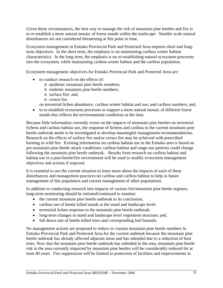Given these circumstances, the best way to manage the risk of mountain pine beetles and fire is to re-establish a more natural mosaic of forest stands within the landscape. Smaller scale natural disturbances are not considered threatening at this point in time.

Ecosystem management in Entiako Provincial Park and Protected Area requires short and longterm objectives. In the short term, the emphasis is on maintaining caribou winter habitat characteristics. In the long term, the emphasis is on re-establishing natural ecosystem processes into the ecosystem, while maintaining caribou winter habitat and the caribou population.

Ecosystem management objectives for Entiako Provincial Park and Protected Area are:

- to conduct research on the effects of:
	- o epidemic mountain pine beetle numbers;
	- o endemic mountain pine beetle numbers;
	- o surface fire; and,
	- o crown fire

on terrestrial lichen abundance, caribou winter habitat and use, and caribou numbers; and,

• to re-establish ecosystem processes to support a more natural mosaic of different forest stands that reflects the environmental conditions at the time.

Because little information currently exists on the impacts of mountain pine beetles on terrestrial lichens and caribou habitat use, the response of lichens and caribou to the current mountain pine beetle outbreak needs to be investigated to develop meaningful management recommendations. Research on the effects of surface fire and/or crown fire may be achieved with prescribed burning or wild fire. Existing information on caribou habitat use in the Entiako area is based on pre-mountain pine beetle attack conditions; caribou habitat and range use patterns could change following the mountain pine beetle outbreak. Results from research on caribou habitat and habitat use in a post-beetle/fire environment will be used to modify ecosystem management objectives and actions if required.

It is essential to use the current situation to learn more about the impacts of each of these disturbances and management practices on caribou and caribou habitat to help in future management of this population and current management of other populations.

In addition to conducting research into impacts of various fire/mountain pine beetle regimes, long-term monitoring should be initiated/continued to monitor:

- the current mountain pine beetle outbreak to its conclusion;
- caribou use of beetle killed stands at the stand and landscape level;
- terrestrial lichen response to the mountain pine beetle outbreak;
- long-term changes to stand and landscape level vegetation structure; and,
- fall down rate of beetle killed trees and corresponding fuel hazards.

No management actions are proposed to reduce or contain mountain pine beetle numbers in Entiako Provincial Park and Protected Area for the current outbreak because the mountain pine beetle outbreak has already affected adjacent areas and has subsided due to a reduction of host trees. Now that the mountain pine beetle outbreak has subsided in the area, mountain pine beetle risk in the area currently impacted by mountain pine beetles will be considerably reduced for at least 40 years. Fire suppression will be limited to protection of facilities and improvements in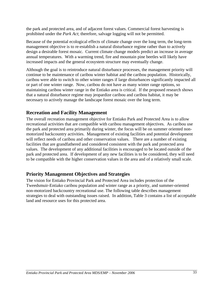the park and protected area, and of adjacent forest values. Commercial forest harvesting is prohibited under the *Park Act*; therefore, salvage logging will not be permitted.

Because of the potential ecological effects of climate change over the long term, the long-term management objective is to re-establish a natural disturbance regime rather than to actively design a desirable forest mosaic. Current climate change models predict an increase in average annual temperatures. With a warming trend, fire and mountain pine beetles will likely have increased impacts and the general ecosystem structure may eventually change.

Although the goal is to reintroduce natural disturbance processes, the management priority will continue to be maintenance of caribou winter habitat and the caribou population. Historically, caribou were able to switch to other winter ranges if large disturbances significantly impacted all or part of one winter range. Now, caribou do not have as many winter range options, so maintaining caribou winter range in the Entiako area is critical. If the proposed research shows that a natural disturbance regime may jeopardize caribou and caribou habitat, it may be necessary to actively manage the landscape forest mosaic over the long term.

## **Recreation and Facility Management**

The overall recreation management objective for Entiako Park and Protected Area is to allow recreational activities that are compatible with caribou management objectives. As caribou use the park and protected area primarily during winter, the focus will be on summer oriented nonmotorized backcountry activities. Management of existing facilities and potential development will reflect needs of caribou and other conservation values. There are a number of existing facilities that are grandfathered and considered consistent with the park and protected area values. The development of any additional facilities is encouraged to be located outside of the park and protected area. If development of any new facilities is to be considered, they will need to be compatible with the higher conservation values in the area and of a relatively small scale.

#### **Priority Management Objectives and Strategies**

The vision for Entiako Provincial Park and Protected Area includes protection of the Tweedsmuir-Entiako caribou population and winter range as a priority, and summer-oriented non-motorized backcountry recreational use. The following table describes management strategies to deal with outstanding issues raised. In addition, Table 3 contains a list of acceptable land and resource uses for this protected area.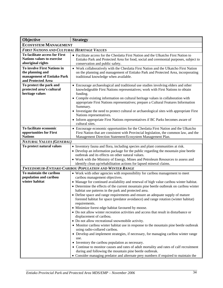| Objective                                                                                           | <b>Strategy</b>                                                                                                                                                                                                                                                                                                                                                                                                                                                                                                                                                                                                                                                                                                                                                                                                                                                                                                                                                                                   |
|-----------------------------------------------------------------------------------------------------|---------------------------------------------------------------------------------------------------------------------------------------------------------------------------------------------------------------------------------------------------------------------------------------------------------------------------------------------------------------------------------------------------------------------------------------------------------------------------------------------------------------------------------------------------------------------------------------------------------------------------------------------------------------------------------------------------------------------------------------------------------------------------------------------------------------------------------------------------------------------------------------------------------------------------------------------------------------------------------------------------|
| <b>ECOSYSTEM MANAGEMENT</b>                                                                         |                                                                                                                                                                                                                                                                                                                                                                                                                                                                                                                                                                                                                                                                                                                                                                                                                                                                                                                                                                                                   |
| <b>FIRST NATIONS AND CULTURAL HERITAGE VALUES</b>                                                   |                                                                                                                                                                                                                                                                                                                                                                                                                                                                                                                                                                                                                                                                                                                                                                                                                                                                                                                                                                                                   |
| To facilitate access for First<br><b>Nations values to exercise</b><br>aboriginal rights            | • Facilitate access for the Cheslatta First Nation and the Ulkatcho First Nation to<br>Entiako Park and Protected Area for food, social and ceremonial purposes, subject to<br>conservation and public safety.                                                                                                                                                                                                                                                                                                                                                                                                                                                                                                                                                                                                                                                                                                                                                                                    |
| To involve First Nations in<br>the planning and<br>management of Entiako Park<br>and Protected Area | • Work collaboratively with the Cheslatta First Nation and the Ulkatcho First Nation<br>on the planning and management of Entiako Park and Protected Area, incorporating<br>traditional knowledge when available.                                                                                                                                                                                                                                                                                                                                                                                                                                                                                                                                                                                                                                                                                                                                                                                 |
| To protect the park and<br>protected area's cultural<br>heritage values                             | • Encourage archaeological and traditional use studies involving elders and other<br>knowledgeable First Nations representatives; work with First Nations to obtain<br>funding.<br>• Compile existing information on cultural heritage values in collaboration with<br>appropriate First Nations representatives; prepare a Cultural Features Information<br>Summary.<br>• Investigate the need to protect cultural or archaeological sites with appropriate First<br>Nations representatives.<br>• Inform appropriate First Nations representatives if BC Parks becomes aware of<br>cultural sites.                                                                                                                                                                                                                                                                                                                                                                                              |
| To facilitate economic<br>opportunities for First<br><b>Nations</b>                                 | • Encourage economic opportunities for the Cheslatta First Nation and the Ulkatcho<br>First Nation that are consistent with Provincial legislation, the common law, and the<br>Management Direction Statement/Ecosystem Management Plan.                                                                                                                                                                                                                                                                                                                                                                                                                                                                                                                                                                                                                                                                                                                                                          |
| <b>NATURAL VALUES (GENERAL)</b>                                                                     |                                                                                                                                                                                                                                                                                                                                                                                                                                                                                                                                                                                                                                                                                                                                                                                                                                                                                                                                                                                                   |
| To protect natural values                                                                           | • Inventory fauna and flora, including species and plant communities at risk.<br>• Develop an information package for the public regarding the mountain pine beetle<br>outbreak and its effects on other natural values.<br>• Work with the Ministry of Energy, Mines and Petroleum Resources to assess and<br>identify clean up/rehabilitation actions for lapsed mineral claims.                                                                                                                                                                                                                                                                                                                                                                                                                                                                                                                                                                                                                |
|                                                                                                     | TWEEDSMUIR-ENTIAKO CARIBOU POPULATION AND WINTER RANGE                                                                                                                                                                                                                                                                                                                                                                                                                                                                                                                                                                                                                                                                                                                                                                                                                                                                                                                                            |
| To maintain the caribou<br>population and caribou<br>winter habitat                                 | • Work with other agencies with responsibility for caribou management to meet<br>caribou management objectives.<br>• Manage for continued availability and renewal of high value caribou winter habitat.<br>• Determine the effects of the current mountain pine beetle outbreak on caribou winter<br>habitat use patterns in the park and protected area.<br>• Define space and range requirements and ensure an adequate supply of mature<br>forested habitat for space (predator avoidance) and range rotation (winter habitat)<br>requirements.<br>• Minimize forest edge habitat favoured by moose.<br>• Do not allow winter recreation activities and access that result in disturbance or<br>displacement of caribou.<br>• Do not allow recreational snowmobile activity.<br>• Monitor caribou winter habitat use in response to the mountain pine beetle outbreak<br>using radio-collared caribou.<br>• Develop and implement strategies, if necessary, for managing caribou winter range |
|                                                                                                     | use.<br>• Inventory the caribou population as necessary.<br>• Continue to monitor causes and rates of adult mortality and rates of calf recruitment<br>during and following the mountain pine beetle outbreak.<br>• Consider managing predator and alternate prey numbers if required to maintain the                                                                                                                                                                                                                                                                                                                                                                                                                                                                                                                                                                                                                                                                                             |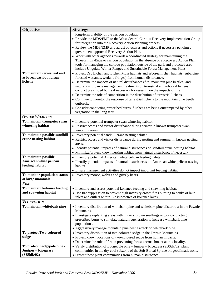| Objective                                              | <b>Strategy</b>                                                                                                                                                     |
|--------------------------------------------------------|---------------------------------------------------------------------------------------------------------------------------------------------------------------------|
|                                                        | long-term viability of the caribou population.                                                                                                                      |
|                                                        | • Provide the MDS/EMP to the West Central Caribou Recovery Implementation Group                                                                                     |
|                                                        | for integration into the Recovery Action Planning process.                                                                                                          |
|                                                        | • Review the MDS/EMP and adjust objectives and actions if necessary pending a                                                                                       |
|                                                        | government approved Recovery Action Plan.                                                                                                                           |
|                                                        | • Work with other agencies towards a coordinated strategy for maintaining the                                                                                       |
|                                                        | Tweedsmuir-Entiako caribou population in the absence of a Recovery Action Plan;                                                                                     |
|                                                        | tools for managing the caribou population outside of the park and protected area                                                                                    |
|                                                        | include Ungulate Winter Ranges and Sustainable Forest Management Plans.                                                                                             |
| To maintain terrestrial and<br>arboreal caribou forage | • Protect Dry Lichen and Lichen Moss habitats and arboreal lichen habitats (subalpine,                                                                              |
| lichens                                                | forested wetlands, wetland fringes) from human disturbance.                                                                                                         |
|                                                        | • Determine the impacts of natural disturbances (fire, mountain pine beetles) and<br>natural disturbance management treatments on terrestrial and arboreal lichens; |
|                                                        | conduct prescribed burns if necessary for research on the impacts of fire.                                                                                          |
|                                                        | • Determine the role of competition in the distribution of terrestrial lichens.                                                                                     |
|                                                        | • Continue to monitor the response of terrestrial lichens to the mountain pine beetle                                                                               |
|                                                        | outbreak.                                                                                                                                                           |
|                                                        | • Consider conducting prescribed burns if lichens are being outcompeted by other                                                                                    |
|                                                        | vegetation in the long term.                                                                                                                                        |
| <b>OTHER WILDLIFE</b>                                  |                                                                                                                                                                     |
| To maintain trumpeter swan                             | • Inventory potential trumpeter swan wintering habitat.                                                                                                             |
| wintering habitat                                      | • Restrict access and visitor disturbance during winter in known trumpeter swan                                                                                     |
|                                                        | wintering areas.                                                                                                                                                    |
| To maintain possible sandhill                          | • Inventory potential sandhill crane nesting habitat.                                                                                                               |
| crane nesting habitat                                  | • Restrict access and visitor disturbance during nesting and summer in known nesting                                                                                |
|                                                        | areas.                                                                                                                                                              |
|                                                        | • Identify potential impacts of natural disturbances on sandhill crane nesting habitat.                                                                             |
|                                                        | • Minimize/protect known nesting habitat from natural disturbance if necessary.                                                                                     |
| To maintain possible                                   | • Inventory potential American white pelican feeding habitat.                                                                                                       |
| American white pelican                                 | • Identify potential impacts of natural disturbances on American white pelican nesting                                                                              |
| feeding habitat                                        | habitat.                                                                                                                                                            |
|                                                        | • Ensure management activities do not impact important feeding habitat.                                                                                             |
| To monitor population status<br>of large mammals       | • Inventory moose, wolves and grizzly bears.                                                                                                                        |
| <b>FISH</b>                                            |                                                                                                                                                                     |
| To maintain kokanee feeding                            | • Inventory and assess potential kokanee feeding and spawning habitat.                                                                                              |
| and spawning habitat                                   | • Use fire suppression to prevent high intensity crown fires burning to banks of lake                                                                               |
|                                                        | inlets and outlets within 1-2 kilometres of kokanee lakes.                                                                                                          |
| <b>VEGETATION</b>                                      |                                                                                                                                                                     |
| To maintain whitebark pine                             | • Inventory distribution of whitebark pine and whitebark pine blister rust in the Fawnie<br>Mountains.                                                              |
|                                                        | • Investigate replanting areas with nursery grown seedlings and/or conducting                                                                                       |
|                                                        | prescribed burns to stimulate natural regeneration to increase whitebark pine                                                                                       |
|                                                        | populations.                                                                                                                                                        |
|                                                        | • Aggressively manage mountain pine beetle attack on whitebark pine.                                                                                                |
| To protect Two-coloured                                | • Inventory distribution of two-coloured sedge in the Fawnie Mountains.                                                                                             |
| sedge                                                  | • Protect known locations of two-coloured sedge from human impacts.                                                                                                 |
|                                                        | • Determine the role of fire in preventing forest encroachment at this locality.                                                                                    |
| To protect Lodgepole pine -                            | • Verify distribution of Lodgepole pine - Juniper - Ricegrass (SBSdk/02) plant                                                                                      |
| Juniper - Ricegrass                                    | communities in the dry cool subzone of the Sub-Boreal Spruce biogeoclimatic zone.                                                                                   |
| (SBSdk/02)                                             | • Protect these plant communities from human disturbance.                                                                                                           |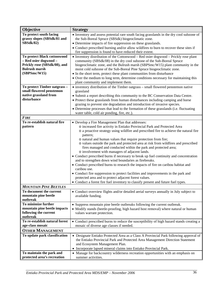| Objective                                                | <b>Strategy</b>                                                                                                                                     |  |  |  |  |  |
|----------------------------------------------------------|-----------------------------------------------------------------------------------------------------------------------------------------------------|--|--|--|--|--|
| To protect south facing<br>grassy slopes (SBSdk/81 and   | • Inventory and assess potential rare south facing grasslands in the dry cool subzone of<br>the Sub-Boreal Spruce (SBSdk) biogeoclimatic zone.      |  |  |  |  |  |
| <b>SBSdk/82)</b>                                         | • Determine impacts of fire suppression on these grasslands.                                                                                        |  |  |  |  |  |
|                                                          | • Conduct prescribed burning and/or allow wildfires to burn to recover these sites if                                                               |  |  |  |  |  |
|                                                          | fire suppression is found to have reduced their extent.                                                                                             |  |  |  |  |  |
| To protect Black cottonwood                              | • Inventory distribution of the Cottonwood - Red osier dogwood - Prickly rose plant                                                                 |  |  |  |  |  |
| - Red osier dogwood -                                    | community (SBSdk/08) in the dry cool subzone of the Sub-Boreal Spruce                                                                               |  |  |  |  |  |
| Prickly rose (SBSdk/08), and                             | biogeoclimatic zone, and the Bulrush marsh (SBPSmc/W15) plant community in the                                                                      |  |  |  |  |  |
| <b>Bulrush marsh</b>                                     | moist cold subzone of the Sub-Boreal Pine Spruce biogeoclimatic zone.                                                                               |  |  |  |  |  |
| (SBPSmc/W15)                                             | • In the short term, protect these plant communities from disturbance                                                                               |  |  |  |  |  |
|                                                          | • Over the medium to long term, determine conditions necessary for maintaining this                                                                 |  |  |  |  |  |
|                                                          | plant community and implement them.                                                                                                                 |  |  |  |  |  |
| To protect Timber oatgrass -<br>small flowered penstemon | • inventory distribution of the Timber oatgrass - small flowered penstemon native<br>grassland                                                      |  |  |  |  |  |
| native grassland from                                    | • Submit a report describing this community to the BC Conservation Data Centre.                                                                     |  |  |  |  |  |
| disturbance                                              | • Protect these grasslands from human disturbances including camping and horse                                                                      |  |  |  |  |  |
|                                                          | grazing to prevent site degradation and introduction of invasive species.                                                                           |  |  |  |  |  |
|                                                          | • Determine processes that lead to the formation of these grasslands (i.e. fluctuating                                                              |  |  |  |  |  |
|                                                          | water table, cold air ponding, fire, etc.).                                                                                                         |  |  |  |  |  |
| <b>FIRE</b>                                              |                                                                                                                                                     |  |  |  |  |  |
| To re-establish natural fire                             | • Develop a Fire Management Plan that addresses:                                                                                                    |  |  |  |  |  |
| pattern                                                  | o increased fire activity in Entiako Provincial Park and Protected Area                                                                             |  |  |  |  |  |
|                                                          | o a proactive strategy using wildfire and prescribed fire to achieve the natural fire                                                               |  |  |  |  |  |
|                                                          | pattern;                                                                                                                                            |  |  |  |  |  |
|                                                          | o natural and human values that require protection from fire;<br>o values outside the park and protected area at risk from wildfires and prescribed |  |  |  |  |  |
|                                                          | fires managed and conducted within the park and protected area;                                                                                     |  |  |  |  |  |
|                                                          | o involvement with managers of adjacent lands.                                                                                                      |  |  |  |  |  |
|                                                          | • Conduct prescribed burns if necessary to break up fuel continuity and concentration                                                               |  |  |  |  |  |
|                                                          | and to strengthen down wind boundaries as firebreaks.                                                                                               |  |  |  |  |  |
|                                                          | • Conduct prescribed burns to research the impacts of fire on caribou habitat and                                                                   |  |  |  |  |  |
|                                                          | caribou use.                                                                                                                                        |  |  |  |  |  |
|                                                          | • Conduct fire suppression to protect facilities and improvements in the park and                                                                   |  |  |  |  |  |
|                                                          | protected area and to protect adjacent forest values.                                                                                               |  |  |  |  |  |
| <b>MOUNTAIN PINE BEETLES</b>                             | • Conduct a forest fire fuel inventory to classify present and future fuel types.                                                                   |  |  |  |  |  |
| To document the current                                  |                                                                                                                                                     |  |  |  |  |  |
| mountain pine beetle                                     | • Conduct overview flights and/or detailed aerial surveys annually in July subject to<br>available funding.                                         |  |  |  |  |  |
| outbreak                                                 |                                                                                                                                                     |  |  |  |  |  |
| To minimize further                                      | • Suppress mountain pine beetle outbreaks following the current outbreak.                                                                           |  |  |  |  |  |
| mountain pine beetle impacts                             | • Modify stands (beetle-proofing, high hazard host removal) where natural or human                                                                  |  |  |  |  |  |
| following the current                                    | values warrant protection.                                                                                                                          |  |  |  |  |  |
| outbreak                                                 |                                                                                                                                                     |  |  |  |  |  |
| To re-establish natural forest                           | • Conduct prescribed burns to reduce the susceptibility of high hazard stands creating a                                                            |  |  |  |  |  |
| age-class mosaic                                         | mosaic of diverse age classes if needed.                                                                                                            |  |  |  |  |  |
| <b>OTHER MANAGEMENT</b>                                  |                                                                                                                                                     |  |  |  |  |  |
| To update park classification                            | • Designate Entiako Protected Area as a Class A Provincial Park following approval of                                                               |  |  |  |  |  |
|                                                          | the Entiako Provincial Park and Protected Area Management Direction Statement<br>and Ecosystem Management Plan.                                     |  |  |  |  |  |
|                                                          | • Incorporate lapsed mineral claims into Entiako Provincial Park.                                                                                   |  |  |  |  |  |
| To maintain the park and                                 | • Manage for backcountry wilderness recreation opportunities with an emphasis on                                                                    |  |  |  |  |  |
| protected area's recreation                              | summer activities.                                                                                                                                  |  |  |  |  |  |
|                                                          |                                                                                                                                                     |  |  |  |  |  |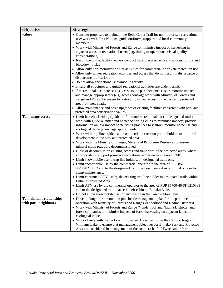| Objective                 | <b>Strategy</b>                                                                                                                           |
|---------------------------|-------------------------------------------------------------------------------------------------------------------------------------------|
| values                    | • Consider proposals to maintain the Bella Coola Trail for non-motorised recreational                                                     |
|                           | use; work with First Nations, guide outfitters, trappers and local community                                                              |
|                           | members.                                                                                                                                  |
|                           | • Work with Ministry of Forests and Range to minimise impact of harvesting in                                                             |
|                           | adjacent areas on recreational users (e.g. timing of operations, visual quality<br>considerations).                                       |
|                           | • Recommend that facility owners conduct hazard assessments and actions for fire and                                                      |
|                           | blowdown risks.                                                                                                                           |
|                           | • Allow only non-motorized winter activities for commercial or private recreation use.                                                    |
|                           | • Allow only winter recreation activities and access that do not result in disturbance or                                                 |
|                           | displacement of caribou.                                                                                                                  |
|                           | • Do not allow recreational snowmobile activity.                                                                                          |
|                           | • Ensure all structures and guided recreational activities are under permit.                                                              |
|                           | • If recreational use increases as access to the park becomes easier, monitor impacts                                                     |
|                           | and manage appropriately (e.g. access control); work with Ministry of Forests and                                                         |
|                           | Range and Forest Licensees to restrict motorized access to the park and protected                                                         |
|                           | area from new roads.<br>• Allow maintenance and basic upgrades of existing facilities consistent with park and                            |
|                           | protected area conservation values.                                                                                                       |
| To manage access          | • Limit horseback riding (guide-outfitter and recreational use) to designated trails;                                                     |
|                           | work with guide-outfitter and horseback riding clubs to minimise impacts; provide                                                         |
|                           | information on low impact horse riding practices to visitors; monitor horse use and                                                       |
|                           | ecological damage; manage appropriately.                                                                                                  |
|                           | • Work with trap line holders and commercial recreation permit holders to limit trail                                                     |
|                           | development in the park and protected area.                                                                                               |
|                           | • Work with the Ministry of Energy, Mines and Petroleum Resources to ensure                                                               |
|                           | mineral claim roads are decommissioned.<br>• Close or decommission existing access and trails within the protected areas, where           |
|                           | appropriate, to support primitive recreational experiences (Lakes LRMP).                                                                  |
|                           | • Limit snowmobile use to trap line holders, on designated trails only.                                                                   |
|                           | • Limit snowmobile use by the commercial operator to the area of PUP 85700-                                                               |
|                           | 40/SK0210383 and to the designated trail to access their cabin on Entiako Lake for                                                        |
|                           | camp maintenance.                                                                                                                         |
|                           | • Limit continued ATV use by the existing trap line holder to designated trails within                                                    |
|                           | Entiako Protected Area.                                                                                                                   |
|                           | • Limit ATV use by the commercial operator to the area of PUP 85700-40/SK0210383                                                          |
|                           | and to the designated trail to access their cabin on Entiako Lake.<br>Do not allow snowmobile use for any reason in the Fawnie Mountains. |
| To maintain relationships | $\bullet$<br>• Develop long - term mountain pine beetle management plan for the park in co-                                               |
| with park neighbours      | operation with Ministry of Forests and Range (Vanderhoof and Nadina Districts).                                                           |
|                           | • Work with Ministry of Forests and Range (Vanderhoof and Nadina Districts) and                                                           |
|                           | forest companies to minimise impacts of forest harvesting on adjacent lands on                                                            |
|                           | ecological values.                                                                                                                        |
|                           | • Work closely with the Parks and Protected Areas Section in the Cariboo Region in                                                        |
|                           | Williams Lake to ensure that management objectives for Entiako Park and Protected                                                         |
|                           | Area are considered in management of the southern half of Tweedsmuir Park.                                                                |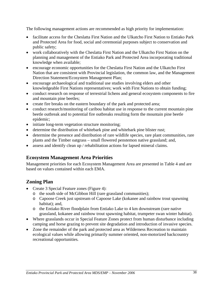The following management actions are recommended as high priority for implementation:

- facilitate access for the Cheslatta First Nation and the Ulkatcho First Nation to Entiako Park and Protected Area for food, social and ceremonial purposes subject to conservation and public safety;
- work collaboratively with the Cheslatta First Nation and the Ulkatcho First Nation on the planning and management of the Entiako Park and Protected Area incorporating traditional knowledge when available;
- encourage economic opportunities for the Cheslatta First Nation and the Ulkatcho First Nation that are consistent with Provincial legislation, the common law, and the Management Direction Statement/Ecosystem Management Plan;
- encourage archaeological and traditional use studies involving elders and other knowledgeable First Nations representatives; work with First Nations to obtain funding;
- conduct research on response of terrestrial lichens and general ecosystem components to fire and mountain pine beetles;
- create fire breaks on the eastern boundary of the park and protected area;
- conduct research/monitoring of caribou habitat use in response to the current mountain pine beetle outbreak and to potential fire outbreaks resulting form the mountain pine beetle epidemic;
- initiate long-term vegetation structure monitoring;
- determine the distribution of whitebark pine and whitebark pine blister rust;
- determine the presence and distribution of rare wildlife species, rare plant communities, rare plants and the Timber oatgrass – small flowered penstemon native grassland; and,
- assess and identify clean up / rehabilitation actions for lapsed mineral claims.

## **Ecosystem Management Area Priorities**

Management priorities for each Ecosystem Management Area are presented in Table 4 and are based on values contained within each EMA.

## **Zoning Plan**

- Create 3 Special Feature zones (Figure 4):
	- o the south side of McGibbon Hill (rare grassland communities);
	- o Capoose Creek just upstream of Capoose Lake (kokanee and rainbow trout spawning habitat); and,
	- o the Entiako River floodplain from Entiako Lake to 4 km downstream (rare native grassland, kokanee and rainbow trout spawning habitat, trumpeter swan winter habitat).
- Where grasslands occur in Special Feature Zones protect from human disturbance including camping and horse grazing to prevent site degradation and introduction of invasive species.
- Zone the remainder of the park and protected area as Wilderness Recreation to maintain ecological values while allowing primarily summer oriented, non-motorized backcountry recreational opportunities*.*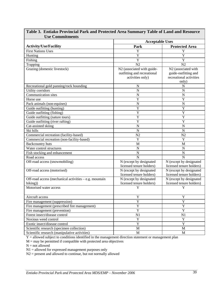| <b>Use Commitments</b>                                 |                             |                                 |  |  |  |
|--------------------------------------------------------|-----------------------------|---------------------------------|--|--|--|
|                                                        | <b>Acceptable Uses</b>      |                                 |  |  |  |
| <b>Activity/Use/Facility</b>                           | Park                        | <b>Protected Area</b>           |  |  |  |
| <b>First Nations Uses</b>                              | Y                           | Y                               |  |  |  |
| Hunting                                                | $\overline{\text{Y}}$       | Y                               |  |  |  |
| Fishing                                                | $\overline{Y}$              | Y                               |  |  |  |
| Trapping                                               | N2                          | N2                              |  |  |  |
| Grazing (domestic livestock)                           | N2 (associated with guide-  | N <sub>2</sub> (associated with |  |  |  |
|                                                        | outfitting and recreational | guide-outfitting and            |  |  |  |
|                                                        | activities only)            | recreational activities         |  |  |  |
|                                                        |                             | only)                           |  |  |  |
| Recreational gold panning/rock hounding                | N                           | N                               |  |  |  |
| Utility corridors                                      | $\overline{N}$              | $\mathbf N$                     |  |  |  |
| Communication sites                                    | $\overline{N}$              | $\mathbf N$                     |  |  |  |
| Horse use                                              | $\overline{Y}$              | Y                               |  |  |  |
| Pack animals (non-equines)                             | $\overline{N}$              | N                               |  |  |  |
| Guide outfitting (hunting)                             | $\overline{Y}$              | $\overline{\text{Y}}$           |  |  |  |
| Guide outfitting (fishing)                             | $\overline{\text{Y}}$       | $\overline{\text{Y}}$           |  |  |  |
| Guide outfitting (nature tours)                        | Y                           | Y                               |  |  |  |
| Guide outfitting (river rafting)                       | $\overline{Y}$              | Y                               |  |  |  |
| Cat-assisted skiing                                    | $\overline{N}$              | $\mathbf N$                     |  |  |  |
| Ski hills                                              | $\mathbf N$                 | $\mathbf N$                     |  |  |  |
| Commercial recreation (facility-based)                 | N2                          | N2                              |  |  |  |
| Commercial recreation (non-facility-based)             | Y                           | Y                               |  |  |  |
| <b>Backcountry huts</b>                                | M                           | M                               |  |  |  |
| Water control structures                               | $\mathbf N$                 | ${\bf N}$                       |  |  |  |
| Fish stocking and enhancement                          | $\mathbf N$                 | $\mathbf N$                     |  |  |  |
| Road access                                            | $\mathbf N$                 | N                               |  |  |  |
| Off-road access (snowmobiling)                         | N (except by designated     | N (except by designated         |  |  |  |
|                                                        | licensed tenure holders)    | licensed tenure holders)        |  |  |  |
| Off-road access (motorised)                            | N (except by designated     | N (except by designated         |  |  |  |
|                                                        | licensed tenure holders)    | licensed tenure holders)        |  |  |  |
| Off-road access (mechanical activities – e.g. mountain | N (except by designated     | N (except by designated         |  |  |  |
| biking)                                                | licensed tenure holders)    | licensed tenure holders)        |  |  |  |
| Motorised water access                                 | Y                           | Y                               |  |  |  |
| Aircraft access                                        | Y                           | Y                               |  |  |  |
| Fire management (suppression)                          | Y                           | $\mathbf Y$                     |  |  |  |
| Fire management (prescribed fire management)           | $\overline{\mathrm{Y}}$     | Y                               |  |  |  |
| Fire management (prevention)                           | $\overline{Y}$              | $\overline{Y}$                  |  |  |  |
| Forest insect/disease control                          | N1<br>N1                    |                                 |  |  |  |
| Noxious weed control                                   | $\overline{Y}$              | $\mathbf{Y}$                    |  |  |  |
| Exotic insect/disease control                          | $\overline{Y}$              | $\overline{Y}$                  |  |  |  |
| Scientific research (specimen collection)              | $\mathbf M$                 | $\mathbf M$                     |  |  |  |
| Scientific research (manipulative activities)          | $\mathbf M$                 | $\mathbf M$                     |  |  |  |

# **Table 3. Entiako Provincial Park and Protected Area Summary Table of Land and Resource**

Y = allowed subject to conditions identified in the management direction statement or management plan

 $M =$  may be permitted if compatible with protected area objectives

 $N = not allowed$ 

N1 = allowed for expressed management purposes only

N2 = present and allowed to continue, but not normally allowed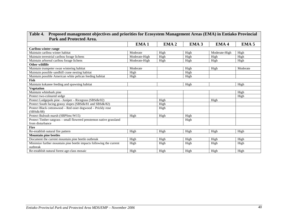| Park and Protected Area.                                                        |                  |                  |                  |                  |                  |
|---------------------------------------------------------------------------------|------------------|------------------|------------------|------------------|------------------|
|                                                                                 | EMA <sub>1</sub> | EMA <sub>2</sub> | EMA <sub>3</sub> | EMA <sub>4</sub> | EMA <sub>5</sub> |
| Caribou winter range                                                            |                  |                  |                  |                  |                  |
| Maintain caribou winter habitat                                                 | Moderate         | High             | High             | Moderate-High    | High             |
| Maintain terrestrial caribou forage lichens                                     | Moderate-High    | High             | High             | High             | High             |
| Maintain arboreal caribou forage lichens                                        | Moderate-High    | High             | High             | High             | High             |
| Other wildlife                                                                  |                  |                  |                  |                  |                  |
| Maintain trumpeter swan wintering habitat                                       | Moderate         |                  | High             | High             | Moderate         |
| Maintain possible sandhill crane nesting habitat                                | High             |                  | High             |                  |                  |
| Maintain possible American white pelican feeding habitat                        | High             |                  | High             |                  |                  |
| <b>Fish</b>                                                                     |                  |                  |                  |                  |                  |
| Maintain kokanee feeding and spawning habitat                                   |                  |                  | High             |                  | High             |
| <b>Vegetation</b>                                                               |                  |                  |                  |                  |                  |
| Maintain whitebark pine                                                         |                  |                  |                  |                  | High             |
| Protect two-coloured sedge                                                      |                  |                  |                  |                  | High             |
| Protect Lodgepole pine - Juniper - Ricegrass (SBSdk/02)                         |                  | High             |                  | High             |                  |
| Protect South facing grassy slopes (SBSdk/81 and SBSdk/82)                      |                  | High             |                  |                  |                  |
| Protect Black cottonwood - Red osier dogwood - Prickly rose                     |                  | High             |                  |                  |                  |
| (SBSdk/08)                                                                      |                  |                  |                  |                  |                  |
| Protect Bulrush marsh (SBPSmc/W15)                                              | High             | High             | High             |                  |                  |
| Protect Timber oatgrass - small flowered penstemon native grassland             |                  |                  | High             |                  |                  |
| from disturbance                                                                |                  |                  |                  |                  |                  |
| <b>Fire</b>                                                                     |                  |                  |                  |                  |                  |
| Re-establish natural fire pattern                                               | High             | High             | High             | High             | High             |
| <b>Mountain pine beetles</b>                                                    |                  |                  |                  |                  |                  |
| Document the current mountain pine beetle outbreak                              | High             | High             | High             | High             | High             |
| Minimize further mountain pine beetle impacts following the current<br>outbreak | High             | High             | High             | High             | High             |
| Re-establish natural forest age-class mosaic                                    | High             | High             | High             | High             | High             |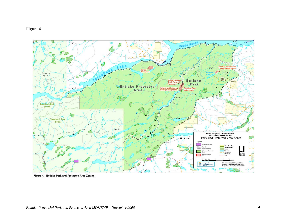



Figure 4. Entiako Park and Protected Area Zoning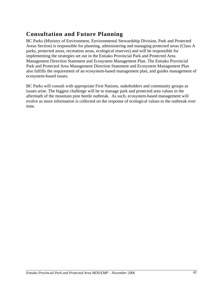# **Consultation and Future Planning**

BC Parks (Ministry of Environment, Environmental Stewardship Division, Park and Protected Areas Section) is responsible for planning, administering and managing protected areas (Class A parks, protected areas, recreation areas, ecological reserves) and will be responsible for implementing the strategies set out in the Entiako Provincial Park and Protected Area Management Direction Statement and Ecosystem Management Plan. The Entiako Provincial Park and Protected Area Management Direction Statement and Ecosystem Management Plan also fulfills the requirement of an ecosystem-based management plan, and guides management of ecosystem-based issues.

BC Parks will consult with appropriate First Nations, stakeholders and community groups as issues arise. The biggest challenge will be to manage park and protected area values in the aftermath of the mountain pine beetle outbreak. As such, ecosystem-based management will evolve as more information is collected on the response of ecological values to the outbreak over time.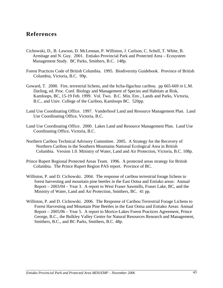## **References**

- Cichowski, D., B. Lawson, D. McLennan, P. Williston, J. Carlson, C. Schell, T. White, B. Armitage and N. Guy. 2001. Entiako Provincial Park and Protected Area – Ecosystem Management Study. BC Parks, Smithers, B.C. 148p.
- Forest Practices Code of British Columbia. 1995. Biodiversity Guidebook. Province of British Columbia, Victoria, B.C. 99p.
- Goward, T. 2000. Fire, terrestrial lichens, and the Itcha-Ilgachuz caribou. pp 665-669 *in* L.M. Darling, ed. Proc. Conf. Biology and Management of Species and Habitats at Risk, Kamloops, BC, 15-19 Feb. 1999. Vol. Two. B.C. Min. Env., Lands and Parks, Victoria, B.C., and Univ. College of the Cariboo, Kamloops BC. 520pp.
- Land Use Coordinating Office. 1997. Vanderhoof Land and Resource Management Plan. Land Use Coordinating Office, Victoria, B.C.
- Land Use Coordinating Office. 2000. Lakes Land and Resource Management Plan. Land Use Coordinating Office, Victoria, B.C.
- Northern Caribou Technical Advisory Committee. 2005. A Strategy for the Recovery of Northern Caribou in the Southern Mountains National Ecological Area in British Columbia. Version 1.0. Ministry of Water, Land and Air Protection, Victoria, B.C. 108p.
- Prince Rupert Regional Protected Areas Team. 1996. A protected areas strategy for British Columbia. The Prince Rupert Region PAS report. Province of BC.
- Williston, P. and D. Cichowski. 2004. The response of caribou terrestrial forage lichens to forest harvesting and mountain pine beetles in the East Ootsa and Entiako areas: Annual Report – 2003/04 – Year 3. A report to West Fraser Sawmills, Fraser Lake, BC, and the Ministry of Water, Land and Air Protection, Smithers, BC. 41 pp.
- Williston, P. and D. Cichowski. 2006. The Response of Caribou Terrestrial Forage Lichens to Forest Harvesting and Mountain Pine Beetles in the East Ootsa and Entiako Areas: Annual Report – 2005/06 – Year 5. A report to Morice-Lakes Forest Practices Agreement, Prince George, B.C., the Bulkley Valley Centre for Natural Resources Research and Management, Smithers, B.C., and BC Parks, Smithers, B.C. 48p.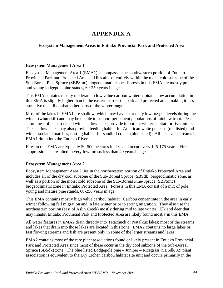# **APPENDIX A**

#### **Ecosystem Management Areas in Entiako Provincial Park and Protected Area**

#### **Ecosystem Management Area 1**

Ecosystem Management Area 1 (EMA1) encompasses the southwestern portion of Entiako Provincial Park and Protected Area and lies almost entirely within the moist cold subzone of the Sub-Boreal Pine Spruce (SBPSmc) biogeoclimatic zone. Forests in this EMA are mostly pole and young lodgepole pine stands, 60-250 years in age.

This EMA contains mostly moderate to low value caribou winter habitat; snow accumulation in this EMA is slightly higher than in the eastern part of the park and protected area, making it less attractive to caribou than other parts of the winter range.

Most of the lakes in EMA1 are shallow, which may have extremely low oxygen levels during the winter (winterkill) and may be unable to support permanent populations of rainbow trout. Peat shorelines, often associated with shallow lakes, provide important winter habitat for river otters. The shallow lakes may also provide feeding habitat for American white pelicans (red listed) and with associated marshes, nesting habitat for sandhill cranes (blue listed). All lakes and streams in EMA1 drain into the Entiako River.

Fires in this EMA are typically 50-500 hectares in size and occur every 125-175 years. Fire suppression has resulted in very few forests less than 40 years in age.

#### **Ecosystem Management Area 2**

Ecosystem Management Area 2 lies in the northwestern portion of Entiako Protected Area and includes all of the dry cool subzone of the Sub-Boreal Spruce (SBSdk) biogeoclimatic zone, as well as a portion of the moist cold subzone of the Sub-Boreal Pine-Spruce (SBPSmc) biogeoclimatic zone in Entiako Protected Area. Forests in this EMA consist of a mix of pole, young and mature pine stands, 60-250 years in age.

This EMA contains mostly high value caribou habitat. Caribou concentrate in the area in early winter following fall migration and in late winter prior to spring migration. They also use the northeastern portion (east of Aslin Creek) mostly during mid to late winter. Elk and deer that may inhabit Entiako Provincial Park and Protected Area are likely found mostly in this EMA.

All water features in EMA2 drain directly into Tetachuck or Natalkuz lakes; most of the streams and lakes that drain into those lakes are located in this zone. EMA2 contains no large lakes or fast flowing streams and fish are present only in some of the larger streams and lakes.

EMA2 contains most of the rare plant associations found or likely present in Entiako Provincial Park and Protected Area since most of these occur in the dry cool subzone of the Sub-Boreal Spruce (SBSdk) zone. The blue listed Lodgepole pine – Juniper – Ricegrass (SBSdk/02) plant association is equivalent to the Dry Lichen caribou habitat site unit and occurs primarily in the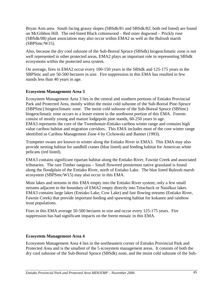Bryan Arm area. South facing grassy slopes (SBSdk/81 and SBSdk/82; both red listed) are found on McGibbon Hill. The red-listed Black cottonwood – Red osier dogwood – Prickly rose (SBSdk/08) plant association may also occur within EMA2 as well as the Bulrush marsh (SBPSmc/W15).

Also, because the dry cool subzone of the Sub-Boreal Spruce (SBSdk) biogeoclimatic zone is not well represented in other protected areas, EMA2 plays an important role in representing SBSdk ecosystems within the protected area system.

On average, fires in EMA2 occur every 100-150 years in the SBSdk and 125-175 years in the SBPSmc and are 50-500 hectares in size. Fire suppression in this EMA has resulted in few stands less than 40 years in age.

#### **Ecosystem Management Area 3**

Ecosystem Management Area 3 lies in the central and southern portions of Entiako Provincial Park and Protected Area, mostly within the moist cold subzone of the Sub-Boreal Pine-Spruce (SBPSmc) biogeoclimatic zone. The moist cold subzone of the Sub-Boreal Spruce (SBSmc) biogeoclimatic zone occurs to a lesser extent in the northwest portion of this EMA. Forests consist of mostly young and mature lodgepole pine stands, 60-250 years in age. EMA3 represents the core of the Tweedsmuir-Entiako caribou winter range and contains high value caribou habitat and migration corridors. This EMA includes most of the core winter range identified as Caribou Management Zone 4 by Cichowski and Banner (1993).

Trumpeter swans are known to winter along the Entiako River in EMA3. This EMA may also provide nesting habitat for sandhill cranes (blue listed) and feeding habitat for American white pelicans (red listed).

EMA3 contains significant riparian habitat along the Entiako River, Fawnie Creek and associated tributaries. The rare Timber oatgrass – Small flowered penstemon native grassland is found along the floodplain of the Entiako River, north of Entiako Lake. The blue listed Bulrush marsh ecosystem (SBPSmc/W15) may also occur in this EMA.

Most lakes and streams in this EMA empty into the Entiako River system; only a few small streams adjacent to the boundary of EMA2 empty directly into Tetachuck or Natalkuz lakes. EMA3 contains large lakes (Entiako Lake, Cow Lake) and fast flowing streams (Entiako River, Fawnie Creek) that provide important feeding and spawning habitat for kokanee and rainbow trout populations.

Fires in this EMA average 50-500 hectares in size and occur every 125-175 years. Fire suppression has had significant impacts on the forest mosaic in this EMA.

#### **Ecosystem Management Area 4**

Ecosystem Management Area 4 lies in the northeastern corner of Entiako Provincial Park and Protected Area and is the smallest of the 5 ecosystem management areas. It consists of both the dry cool subzone of the Sub-Boreal Spruce (SBSdk) zone, and the moist cold subzone of the Sub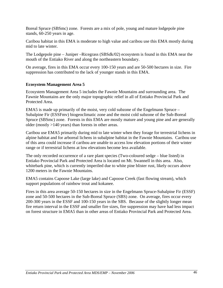Boreal Spruce (SBSmc) zone. Forests are a mix of pole, young and mature lodgepole pine stands, 60-250 years in age.

Caribou habitat in this EMA is moderate to high value and caribou use this EMA mostly during mid to late winter.

The Lodgepole pine – Juniper –Ricegrass (SBSdk/02) ecosystem is found in this EMA near the mouth of the Entiako River and along the northeastern boundary.

On average, fires in this EMA occur every 100-150 years and are 50-500 hectares in size. Fire suppression has contributed to the lack of younger stands in this EMA.

#### **Ecosystem Management Area 5**

Ecosystem Management Area 5 includes the Fawnie Mountains and surrounding area. The Fawnie Mountains are the only major topographic relief in all of Entiako Provincial Park and Protected Area.

EMA5 is made up primarily of the moist, very cold subzone of the Engelmann Spruce – Subalpine Fir (ESSFmv) biogeoclimatic zone and the moist cold subzone of the Sub-Boreal Spruce (SBSmc) zone. Forests in this EMA are mostly mature and young pine and are generally older (mostly >140 years) than forests in other areas.

Caribou use EMA5 primarily during mid to late winter when they forage for terrestrial lichens in alpine habitat and for arboreal lichens in subalpine habitat in the Fawnie Mountains. Caribou use of this area could increase if caribou are unable to access low elevation portions of their winter range or if terrestrial lichens at low elevations become less available.

The only recorded occurrence of a rare plant species (Two-coloured sedge – blue listed) in Entiako Provincial Park and Protected Area is located on Mt. Swannell in this area. Also, whitebark pine, which is currently imperiled due to white pine blister rust, likely occurs above 1200 meters in the Fawnie Mountains.

EMA5 contains Capoose Lake (large lake) and Capoose Creek (fast flowing stream), which support populations of rainbow trout and kokanee.

Fires in this area average 50-150 hectares in size in the Engelmann Spruce-Subalpine Fir (ESSF) zone and 50-500 hectares in the Sub-Boreal Spruce (SBS) zone. On average, fires occur every 200-300 years in the ESSF and 100-150 years in the SBS. Because of the slightly longer mean fire return interval in the ESSF and smaller fire sizes, fire suppression may have had less impact on forest structure in EMA5 than in other areas of Entiako Provincial Park and Protected Area.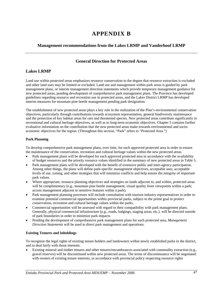# **APPENDIX B**

#### **Management recommendations from the Lakes LRMP and Vanderhoof LRMP**

#### **General Direction for Protected Areas**

#### **Lakes LRMP**

Land use within protected areas emphasizes resource conservation to the degree that resource extraction is excluded and other land uses may be limited or excluded. Land use and management within park areas is guided by park management plans, or interim management direction statements which provide temporary management guidance for new protected areas, pending development of comprehensive park management plans. The Province has developed guidelines regarding resource and recreation use in protected areas, and the Lakes District LRMP has developed interim measures for mountain pine beetle management pending park designation.

The establishment of new protected areas plays a key role in the realization of the Plan's environmental conservation objectives, particularly through contributions towards ecosystem representation, general biodiversity maintenance and the protection of key habitat areas for rare and threatened species. New protected areas contribute significantly to recreational and cultural heritage objectives, as well as to long-term economic objectives. Chapter 5 contains further evaluative information on the contribution that the new protected areas make towards environmental and socioeconomic objectives for the region. (Throughout this section, "Park" refers to "Protected Area.")

#### **Park Planning**

To develop comprehensive park management plans, over time, for each approved protected area in order to ensure the maintenance of the conservation, recreation and cultural heritage values within the new protected areas.

- Park management plans will be developed for each approved protected area in accordance with the availability of budget resources and the priority resource values identified in the summary of new protected areas in Table 5.
- Park management plans will be developed with the benefit of extensive public and inter-agency participation. Among other things, the plans will define park-specific management objectives, acceptable uses, acceptable levels of use, zoning, and other strategies that will minimize conflicts and help ensure the integrity of important park values.
- Where appropriate, resource planning objectives and strategies on lands adjacent to, and within, protected areas will be complimentary (e.g., mountain pine beetle management, visual quality from viewpoints within a park; access management adjacent to sensitive features within a park).
- Park management planning processes will include consultation with tourism industry representatives in order to examine potential commercial opportunities within provincial parks, subject to the prime goal to protect conservation, recreation and cultural heritage values within the parks.
- Commercial opportunities will be assessed with regard to their compatibility with park management plans. Generally, physical commercial infrastructure (e.g., roads, lodgings, staging areas, etc.). will be directed outside of park boundaries in order to minimize park impacts.
- Pending the development of comprehensive park management plans for each protected area, *Management Direction Statements* will be used to direct park management and operations.

#### **Existing Tenures and Inholdings**

To recognize the legal rights of existing tenure holders and landowners within newly established parks in the district, and to deal fairly with those interests.

• Existing mineral and timber tenures and other tenures/encumbrances associated with commodity extraction (e.g., gravel reserves) will be discontinued within new protected areas. The terms of discontinuance will be negotiated with owners of existing tenure interests, in accordance with provincial policy respecting resource rights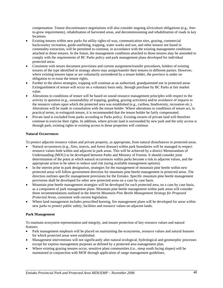compensation. Tenure discontinuance negotiations will also consider ongoing silviculture obligations (e.g., freeto-grow requirements), rehabilitation of harvested areas, and decommissioning and rehabilitation of roads in key locations.

- Existing tenures within new parks for utility rights-of-way, communication sites, grazing, commercial backcountry recreation, guide-outfitting, trapping, water works and use, and other tenures not based in commodity extraction, will be permitted to continue, in accordance with the existing management conditions attached to those tenures. In the future, the management conditions attached to those tenures may be amended to comply with the requirements of BC Parks policy and park management plans developed for individual protected areas.
- Consistent with tenure document provisions and current assignment/transfer procedures, holders of existing tenures of the type identified in strategy above may assign/transfer their tenures to different parties. However, where existing tenures lapse or are voluntarily surrendered by a tenure holder, the province is under no obligation to re-issue the tenure rights.
- Further to the above strategies, trapping will continue as an authorized, grandparented use in protected areas. Extinguishment of tenure will occur on a voluntary basis only, through purchase by BC Parks at fair market value.
- Alterations to conditions of tenure will be based on sound resource management principles with respect to the activity in question (e.g., sustainability of trapping, guiding, grazing activities) and/or avoidance of impacts to the resource values upon which the protected area was established (e.g., caribou, biodiversity, recreation etc.). Alterations will be made in consultation with the tenure holder. Where alterations to conditions of tenure act, in practical terms, to extinguish tenure, it is recommended that the tenure holder be fairly compensated.
- Private land is excluded from parks according to Parks policy. Existing owners of private land will therefore continue to exercise their rights. In addition, where private land is surrounded by new park and the only access is through park, existing rights to existing access to those properties will continue.

#### **Natural Occurrences**

To protect adjacent resource values and private property, as appropriate, from natural disturbances in protected areas.

- Natural occurrences (e.g., fires, insects, and forest disease) within park boundaries will be managed to respect resource values both within and adjacent to park areas. This will be achieved by a district Memorandum of Understanding (MOU) to be developed between Parks and Ministry of Forests. It should consider joint determination of the point at which natural occurrences within parks become a risk to adjacent values, and the appropriate action to be taken to reduce said risk (using available management options).
- In the interim prior to park designation, strategies for the management of mountain pine beetle within new protected areas will follow government direction for mountain pine beetle management in protected areas. The direction outlines specific management provisions for the Entiako. Specific mountain pine beetle management provisions shall be developed for other new protected areas on a case by case basis.
- Mountain pine beetle management strategies will be developed for each protected area, on a case by case basis, as a component of park management plans. Mountain pine beetle management within park areas will consider those recommendations outlined in the *Interim Mountain Pine Beetle Management Strategy for Proposed Protected Areas*, consistent with current legislation.
- Where land management includes prescribed burning, fire management plans will be developed for areas within new parks to protect public safety, facilities and resource values on adjacent lands.

#### **Park Management**

To maintain ecosystem representation and integrity, and ensure protection of key resource values and natural features.

- Park management emphasis will be placed on maintaining the ecosystems, resource values and natural features for which protected areas were established.
- Management interventions will not significantly alter natural ecological, hydrological and geomorphic processes except for express management purposes as defined by a protected area management plan.
- Where existing grazing tenures occur, sensitive plant communities (i.e., steep south facing slopes) will be maintained in conjunction with MOF through application of range management guidelines.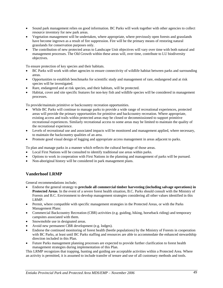- Sound park management relies on good information. BC Parks will work together with other agencies to collect resource inventory for new park areas.
- Vegetation management will be undertaken, where appropriate, where previously open forests and grasslands have become ingrown as a result of fire suppression. Fire will be the primary means of restoring natural grasslands for conservation purposes only.
- The contribution of new protected areas to Landscape Unit objectives will vary over time with both natural and management processes. The Old Growth within these areas will, over time, contribute to LU biodiversity objectives.

To ensure protection of key species and their habitats.

- BC Parks will work with other agencies to ensure connectivity of wildlife habitat between parks and surrounding areas.
- Opportunities to establish benchmarks for scientific study and management of rare, endangered and at risk species will be investigated.
- Rare, endangered and at risk species, and their habitats, will be protected.
- Habitat, cover and site specific features for non-key fish and wildlife species will be considered in management processes.

To provide/maintain primitive or backcountry recreation opportunities.

- While BC Parks will continue to manage parks to provide a wide range of recreational experiences, protected areas will provide the primary opportunities for primitive and backcountry recreation. Where appropriate, existing access and trails within protected areas may be closed or decommissioned to support primitive recreational experiences. Similarly recreational access to some areas may be limited to maintain the quality of the recreational experience.
- Levels of recreational use and associated impacts will be monitored and management applied, where necessary, to maintain the backcountry qualities of an area.
- Promote good visual design of logging and appropriate access management in areas adjacent to parks.

To plan and manage parks in a manner which reflects the cultural heritage of those areas.

- Local First Nations will be consulted to identify traditional use areas within parks.
- Options to work in cooperation with First Nations in the planning and management of parks will be pursued.
- Non-aboriginal history will be considered in park management plans.

#### **Vanderhoof LRMP**

General recommendations include;

- Endorse the general strategy to **preclude all commercial timber harvesting (including salvage operations) in Protected Areas**. In the event of a severe forest health situation, B.C. Parks should consult with the Ministry of Forests and B.C. Environment to develop management strategies considering all other values identified in this LRMP.
- Permit, where compatible with specific management strategies in the Protected Areas, or with the Parks Management Plans:
- Commercial Backcountry Recreation (CBR) activities (e.g. guiding, hiking, horseback riding) and temporary campsites associated with them.
- Snowmobile use in designated areas.
- Avoid new permanent CBR development (e.g. lodges).
- Endorse the continued monitoring of forest health (beetle populations) by the Ministry of Forests in cooperation with BC Parks, at least until BC Parks staffing and resources are able to accommodate the enhanced stewardship direction included in this Plan.
- Future Parks management planning processes are expected to provide further clarification to forest health management strategies during implementation of this Plan.

This LRMP recognizes that trapping, hunting and guiding are acceptable activities within a Protected Area. Where an activity is permitted, it is assumed to include transfer of tenure and use of all customary methods and tools.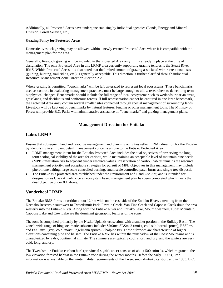Additionally, all Protected Areas have undergone statusing by individual agencies (Lands, Energy and Mineral Division, Forest Service, etc.).

#### **Grazing Policy for Protected Areas**

Domestic livestock grazing may be allowed within a newly created Protected Area where it is compatible with the management plan for the area.

Generally, livestock grazing will be included in the Protected Area only if it is already in place at the time of designation. The only Protected Area in this LRMP area currently supporting grazing tenures is the Stuart River RMZ. Within Protected Areas it is also noted that the limited amount of grazing associated with recreational uses (guiding, hunting, trail riding, etc.) is generally acceptable. This direction is further clarified through individual Resource. Management Zone Direction -Section 2.2.

Where grazing is permitted, "benchmarks" will be left un-grazed to represent local ecosystems. These benchmarks, used as controls in evaluating management practices, must be large enough to allow researchers to detect long term biophysical changes. Benchmarks should include the full range of local ecosystems such as wetlands, riparian areas, grasslands, and deciduous and coniferous forests. If full representation cannot be captured in one large benchmark, the Protected Area -may contain several smaller sites connected through special management of surrounding lands. Livestock will be kept out of benchmarks by natural features, fencing or other management tools. The Ministry of Forest will provide B.C. Parks with administrative assistance on "benchmarks" and grazing management plans.

#### **Management Direction for Entiako**

#### **Lakes LRMP**

Ensure that subsequent land and resource management and planning activities reflect LRMP direction for the Entiako by identifying in sufficient detail, management concerns unique to the Entiako Protected Area.

- LRMP management intent for the Entiako Protected Area includes the dual objectives of preserving the longterm ecological viability of the area for caribou, while maintaining an acceptable level of mountain pine beetle (MPB) infestation risk to adjacent timber resource values. Preservation of caribou habitat remains the resource management priority, and acceptable strategies for pursuit of MPB objectives in this management may include pheromone baiting, large scale controlled burning, small scale controlled patch burns and single tree disposal.
- The Entiako is a protected area established under the Environment and Land Use Act, and is intended for designation as Class A Park once an ecosystem based management plan has been completed which meets the dual objective under 8.1 above.

#### **Vanderhoof LRMP**

The Entiako RMZ forms a corridor about 12 km wide on the east side of the Entiako River, extending from the Nechako Reservoir southwest to Tweedsmuir Park. Fawnie Creek, Van Tine Creek and Capoose Creek drain the area westerly into the Entiako River. Along with the Entiako River and Entiako Lake, Mount Swannell, Tutiai Mountain, Capoose Lake and Cow Lake are the dominant geographic features of the zone.

The zone is comprised primarily by the Nazko Uplands ecosection, with a smaller portion in the Bulkley Basin. The zone's wide range of biogeoclimatic subzones include: SBSmc, SBSmc2 (moist, cold sub-boreal spruce), ESSFmv and ESSFmv1 (very cold, moist Engelmann spruce-Subalpine fir). These subzones are characteristic of higher elevations containing pine and balsam. The Entiako RMZ lies within the rainshadow of the Coast Mountains and is characterized by a dry, continental climate. The summers are typically cool, short, and dry, and the winters are very cold, long, and dry.

The Tweedsmuir-Entiako caribou herd (provincial significance) consists of about 500 animals, which migrate to the low elevation forested habitat in the Entiako zone during the winter months. Before the early 1980's, little information was available on the winter habitat requirements of the Tweedsmuir-Entiako caribou, and in 1983, B.C.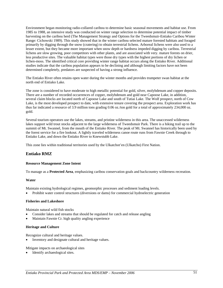Environment began monitoring radio-collared caribou to determine basic seasonal movements and habitat use. From 1985 to 1988, an intensive study was conducted on winter range selection to determine potential impact of timber harvesting on the caribou herd (The Management Strategy and Options for the Tweedsmuir-Entiako Caribou Winter Range: Cichowski 1989). This study showed that in the winter caribou selected mature forested habitats and foraged primarily by digging through the snow (cratering) to obtain terrestrial lichens. Arboreal lichens were also used to a lesser extent, but they became more important when snow depth or hardness impeded digging by caribou. Terrestrial lichens are slow growing, poor competitors with other plants, and are associated with very. mature forests on drier, less productive sites. The valuable habitat types were those dry types with the highest portions of dry lichen or lichen-moss. The identified critical core providing winter range habitat occurs along the Entiako River. Additional studies indicate that the caribou population appears to be declining and although limiting factors have not been determined completely, predators are suspected of having a strong influence.

The Entiako River often retains open water during the winter months and provides trumpeter swan habitat at the north end of Entiako Lake.

The zone is considered to have moderate to high metallic potential for gold, silver, molybdenum and copper deposits. There are a number of recorded occurrences of copper, molybdenum and gold near Capoose Lake, in addition, several claim blocks are located north of Capoose Lake and south of Tutiai Lake. The Wolf prospect, north of Cow Lake, is the most developed prospect to date, with extensive tenure covering the prospect area. Exploration work has thus far indicated a resource of 3.9 million tons grading 0.06 oz./ton gold for a total of approximately 234,000 oz. gold.

Several tourism operators use the lakes, streams, and pristine wilderness in this area. The unaccessed wilderness lakes support wild trout stocks adjacent to the large wilderness of Tweedsmuir Park. There is a hiking trail up to the summit of Mt. Swannel, from the mouth of the Entiako River. The peak of Mt. Swannel has historically been used by the forest service for a fire lookout. A lightly traveled wilderness canoe route runs from Fawnie Creek through to Entiako Lake, and down the Entiako River to Knewstubb Lake.

This zone lies within traditional territories used by the Ulkatchot'en (Ulkatcho) First Nation.

#### **Entiako RMZ**

#### **Resource Management Zone Intent**

To manage as a **Protected Area**, emphasizing caribou conservation goals and backcountry wilderness recreation.

#### **Water**

Maintain existing hydrological regimes, geomorphic processes and sediment loading levels.

• Prohibit water control structures (diversions or dams) for commercial hydroelectric generation

#### **Fisheries and Lakeshore**

Maintain natural wild fish stocks

- Consider lakes and streams that should be regulated for catch and release angling
- Maintain Fawnie Cr. high quality angling experience

#### **Heritage and Culture**

Recognize cultural and heritage values.

Inventory and designate cultural and heritage values.

Mitigate impacts on archaeological sites

Identify archaeological sites.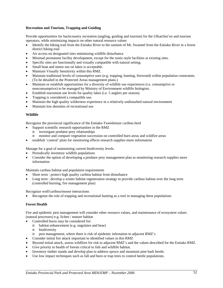#### **Recreation and Tourism, Trapping and Guiding**

Provide opportunities for backcountry recreation (angling, guiding and tourism) for the Ulkatchot'en and tourism operators, while minimizing impacts on other natural resource values

- Identify the hiking trail from the Entiako River to the summit of Mt. Swannel from the Entiako River in a forest district hiking trail
- Air access on designated sites minimizing wildlife disturbance
- Minimal permanent facility development, except for the rustic-style facilities at existing sites.
- Specific sites are functionally and visually compatible with natural setting.
- Small boat and motor use on lakes is acceptable.
- Maintain Visually Sensitivity within this RMZ.
- Maintain traditional levels of consumptive uses (e.g. trapping, hunting, firewood) within population constraints. (To be detailed in the Protected Areas management plans.)
- Maintain or establish opportunities for a diversity of wildlife use experiences (i.e. consumptive or nonconsumptive) to be managed by Ministry of Environment wildlife biologists.
- Establish maximum use levels for quality lakes (i.e. 5 anglers per season).
- Trapping is considered a compatible use.
- Maintain the high quality wilderness experience in a relatively undisturbed natural environment
- Maintain low densities of recreational use

#### **Wildlife**

Recognize the provincial significance of the Entiako-Tweedsmuir caribou herd

- Support scientific research opportunities in the RMZ
	- o investigate predator-prey relationships
	- o monitor and compare vegetation succession on controlled burn areas and wildfire areas
- establish 'control' plots for monitoring effects research supplies more information

Manage for a goal of maintaining current biodiversity levels.

- Periodically inventory wildlife populations
- Consider the option of developing a predator prey management plan as monitoring research supplies more information

Maintain caribou habitat and population requirements

- Short term : protect high quality caribou habitat from disturbance
- Long term : develop a winter habitat regeneration strategy to provide caribou habitat over the long term (controlled burning, fire management plan)

Recognize wolf/caribou/moose interactions

• Recognize the role of trapping and recreational hunting as a tool in managing these populations

#### **Forest Health**

Fire and epidemic pest management will consider other resource values, and maintenance of ecosystem values (natural processes) e.g. lichen / mature habitat

- Controlled burns may be considered for:
	- o habitat enhancement (e.g. ungulates and bear)
	- o biodiversity
	- pest management, where there is risk of epidemic infestation to adjacent RMZ's
	- Consider initial fire attack important to identified values in this RMZ
- Beyond initial attack, assess wildfires for risk to adjacent RMZ's and the values described for the Entiako RMZ.
- Give priority to health of forests critical to fish and wildlife habitat.
- Inventory timber stands and develop plan to address spruce and mountain pine bark beetle.
- Use low impact techniques such as fall and burn or trap trees to control beetle populations.